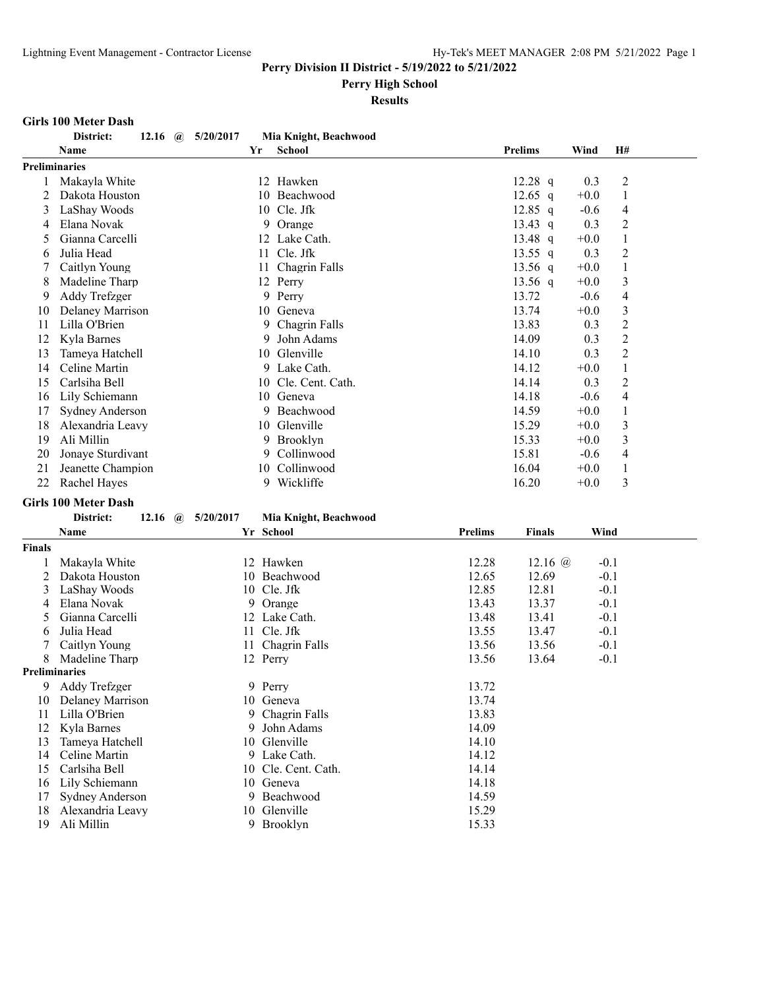## **Perry High School**

## **Results**

## **Girls 100 Meter Dash**

|                      | District:<br>12.16 | 5/20/2017<br>$\mathbf{a}$ |    | Mia Knight, Beachwood |                |        |                |  |
|----------------------|--------------------|---------------------------|----|-----------------------|----------------|--------|----------------|--|
|                      | Name               |                           | Yr | <b>School</b>         | <b>Prelims</b> | Wind   | H#             |  |
| <b>Preliminaries</b> |                    |                           |    |                       |                |        |                |  |
|                      | Makayla White      |                           | 12 | Hawken                | $12.28$ q      | 0.3    | $\overline{2}$ |  |
|                      | Dakota Houston     |                           | 10 | Beachwood             | 12.65 q        | $+0.0$ | 1              |  |
| 3                    | LaShay Woods       |                           |    | 10 Cle. Jfk           | $12.85$ q      | $-0.6$ | 4              |  |
| 4                    | Elana Novak        |                           | 9  | Orange                | 13.43 q        | 0.3    | $\overline{2}$ |  |
| 5                    | Gianna Carcelli    |                           | 12 | Lake Cath.            | 13.48 $q$      | $+0.0$ | 1              |  |
| 6                    | Julia Head         |                           | 11 | Cle. Jfk              | 13.55 q        | 0.3    | $\overline{2}$ |  |
|                      | Caitlyn Young      |                           | 11 | Chagrin Falls         | 13.56 q        | $+0.0$ | 1              |  |
| 8                    | Madeline Tharp     |                           | 12 | Perry                 | 13.56 $q$      | $+0.0$ | 3              |  |
| 9                    | Addy Trefzger      |                           |    | 9 Perry               | 13.72          | $-0.6$ | 4              |  |
| 10                   | Delaney Marrison   |                           |    | 10 Geneva             | 13.74          | $+0.0$ | 3              |  |
| 11                   | Lilla O'Brien      |                           | 9  | Chagrin Falls         | 13.83          | 0.3    | $\overline{2}$ |  |
| 12                   | Kyla Barnes        |                           | 9  | John Adams            | 14.09          | 0.3    | 2              |  |
| 13                   | Tameya Hatchell    |                           | 10 | Glenville             | 14.10          | 0.3    | $\overline{2}$ |  |
| 14                   | Celine Martin      |                           |    | 9 Lake Cath.          | 14.12          | $+0.0$ | 1              |  |
| 15                   | Carlsiha Bell      |                           | 10 | Cle. Cent. Cath.      | 14.14          | 0.3    | 2              |  |
| 16                   | Lily Schiemann     |                           | 10 | Geneva                | 14.18          | $-0.6$ | 4              |  |
| 17                   | Sydney Anderson    |                           | 9  | Beachwood             | 14.59          | $+0.0$ | 1              |  |
| 18                   | Alexandria Leavy   |                           | 10 | Glenville             | 15.29          | $+0.0$ | 3              |  |
| 19                   | Ali Millin         |                           | 9  | <b>Brooklyn</b>       | 15.33          | $+0.0$ | 3              |  |
| 20                   | Jonaye Sturdivant  |                           | 9  | Collinwood            | 15.81          | $-0.6$ | 4              |  |
| 21                   | Jeanette Champion  |                           | 10 | Collinwood            | 16.04          | $+0.0$ |                |  |
| 22                   | Rachel Hayes       |                           | 9  | Wickliffe             | 16.20          | $+0.0$ | 3              |  |

## **Girls 100 Meter Dash**

| <b>District:</b> |  | 12.16 (a) $5/20/2017$ | Mia Knight, Beachwood |
|------------------|--|-----------------------|-----------------------|
|                  |  |                       |                       |

|                      | Name             |    | Yr School           | <b>Prelims</b> | <b>Finals</b>  | Wind   |  |
|----------------------|------------------|----|---------------------|----------------|----------------|--------|--|
| <b>Finals</b>        |                  |    |                     |                |                |        |  |
|                      | Makayla White    |    | 12 Hawken           | 12.28          | 12.16 $\omega$ | $-0.1$ |  |
|                      | Dakota Houston   | 10 | Beachwood           | 12.65          | 12.69          | $-0.1$ |  |
| 3                    | LaShay Woods     |    | 10 Cle. Jfk         | 12.85          | 12.81          | $-0.1$ |  |
| 4                    | Elana Novak      |    | 9 Orange            | 13.43          | 13.37          | $-0.1$ |  |
| 5                    | Gianna Carcelli  |    | 12 Lake Cath.       | 13.48          | 13.41          | $-0.1$ |  |
| 6                    | Julia Head       |    | 11 Cle. Jfk         | 13.55          | 13.47          | $-0.1$ |  |
|                      | Caitlyn Young    |    | 11 Chagrin Falls    | 13.56          | 13.56          | $-0.1$ |  |
| 8                    | Madeline Tharp   |    | 12 Perry            | 13.56          | 13.64          | $-0.1$ |  |
| <b>Preliminaries</b> |                  |    |                     |                |                |        |  |
| 9                    | Addy Trefzger    |    | 9 Perry             | 13.72          |                |        |  |
| 10                   | Delaney Marrison |    | 10 Geneva           | 13.74          |                |        |  |
| 11                   | Lilla O'Brien    |    | 9 Chagrin Falls     | 13.83          |                |        |  |
| 12                   | Kyla Barnes      |    | 9 John Adams        | 14.09          |                |        |  |
| 13                   | Tameya Hatchell  |    | 10 Glenville        | 14.10          |                |        |  |
| 14                   | Celine Martin    |    | 9 Lake Cath.        | 14.12          |                |        |  |
| 15                   | Carlsiha Bell    |    | 10 Cle. Cent. Cath. | 14.14          |                |        |  |
| 16                   | Lily Schiemann   |    | 10 Geneva           | 14.18          |                |        |  |
| 17                   | Sydney Anderson  |    | 9 Beachwood         | 14.59          |                |        |  |
| 18                   | Alexandria Leavy |    | 10 Glenville        | 15.29          |                |        |  |
| 19                   | Ali Millin       |    | 9 Brooklyn          | 15.33          |                |        |  |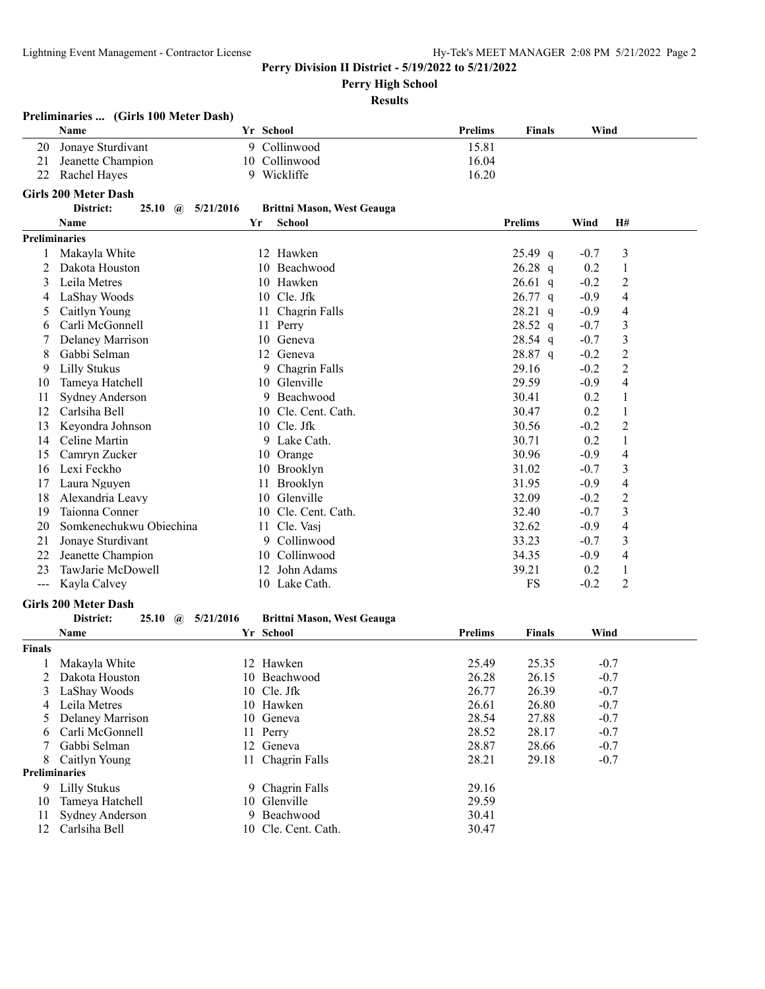**Perry High School**

|                      | Preliminaries  (Girls 100 Meter Dash)       |    |                                   |                |                |        |                          |
|----------------------|---------------------------------------------|----|-----------------------------------|----------------|----------------|--------|--------------------------|
|                      | Name                                        |    | Yr School                         | Prelims        | <b>Finals</b>  | Wind   |                          |
| 20                   | Jonaye Sturdivant                           |    | 9 Collinwood                      | 15.81          |                |        |                          |
| 21                   | Jeanette Champion                           |    | 10 Collinwood                     | 16.04          |                |        |                          |
| 22                   | Rachel Hayes                                |    | 9 Wickliffe                       | 16.20          |                |        |                          |
|                      | <b>Girls 200 Meter Dash</b>                 |    |                                   |                |                |        |                          |
|                      | District:<br>$25.10$ (a) $5/21/2016$        |    | <b>Brittni Mason, West Geauga</b> |                |                |        |                          |
|                      | Name                                        | Yr | School                            |                | <b>Prelims</b> | Wind   | Н#                       |
| <b>Preliminaries</b> |                                             |    |                                   |                |                |        |                          |
| 1                    | Makayla White                               |    | 12 Hawken                         |                | $25.49$ q      | $-0.7$ | 3                        |
| 2                    | Dakota Houston                              |    | Beachwood<br>10                   |                | $26.28$ q      | 0.2    | $\mathbf{1}$             |
| 3                    | Leila Metres                                |    | 10 Hawken                         |                | $26.61$ q      | $-0.2$ | 2                        |
| 4                    | LaShay Woods                                |    | 10 Cle. Jfk                       |                | $26.77$ q      | $-0.9$ | 4                        |
| 5                    | Caitlyn Young                               |    | Chagrin Falls<br>11               |                | $28.21$ q      | $-0.9$ | 4                        |
| 6                    | Carli McGonnell                             |    | 11<br>Perry                       |                | 28.52 q        | $-0.7$ | 3                        |
| 7                    | Delaney Marrison                            |    | 10 Geneva                         |                | 28.54 q        | $-0.7$ | 3                        |
| 8                    | Gabbi Selman                                |    | 12 Geneva                         |                | 28.87 q        | $-0.2$ | $\overline{c}$           |
| 9                    | Lilly Stukus                                |    | Chagrin Falls<br>9                |                | 29.16          | $-0.2$ | $\sqrt{2}$               |
| 10                   | Tameya Hatchell                             |    | 10<br>Glenville                   |                | 29.59          | $-0.9$ | 4                        |
| 11                   | Sydney Anderson                             |    | 9<br>Beachwood                    |                | 30.41          | 0.2    | 1                        |
| 12                   | Carlsiha Bell                               |    | Cle. Cent. Cath.<br>10            |                | 30.47          | 0.2    | 1                        |
| 13                   | Keyondra Johnson                            |    | 10 Cle. Jfk                       |                | 30.56          | $-0.2$ | 2                        |
| 14                   | Celine Martin                               |    | 9 Lake Cath.                      |                | 30.71          | 0.2    | 1                        |
| 15                   | Camryn Zucker                               |    | 10 Orange                         |                | 30.96          | $-0.9$ | 4                        |
| 16                   | Lexi Feckho                                 |    | 10 Brooklyn                       |                | 31.02          | $-0.7$ | 3                        |
| 17                   | Laura Nguyen                                |    | Brooklyn<br>11                    |                | 31.95          | $-0.9$ | $\overline{\mathcal{A}}$ |
| 18                   | Alexandria Leavy                            |    | Glenville<br>10                   |                | 32.09          | $-0.2$ | $\overline{c}$           |
| 19                   | Taionna Conner                              |    | 10 Cle. Cent. Cath.               |                | 32.40          | $-0.7$ | 3                        |
| 20                   | Somkenechukwu Obiechina                     |    | 11 Cle. Vasj                      |                | 32.62          | $-0.9$ | 4                        |
| 21                   | Jonaye Sturdivant                           |    | Collinwood<br>9                   |                | 33.23          | $-0.7$ | 3                        |
| 22                   | Jeanette Champion                           |    | 10 Collinwood                     |                | 34.35          | $-0.9$ | 4                        |
| 23                   | TawJarie McDowell                           |    | 12 John Adams                     |                | 39.21          | 0.2    | $\mathbf{1}$             |
| $---$                | Kayla Calvey                                |    | 10 Lake Cath.                     |                | FS             | $-0.2$ | 2                        |
|                      | <b>Girls 200 Meter Dash</b>                 |    |                                   |                |                |        |                          |
|                      | District:<br>5/21/2016<br>25.10<br>$\omega$ |    | <b>Brittni Mason, West Geauga</b> |                |                |        |                          |
|                      | Name                                        |    | Yr School                         | Prelims        | <b>Finals</b>  | Wind   |                          |
| <b>Finals</b>        |                                             |    |                                   |                |                |        |                          |
|                      | Makayla White                               |    | 12 Hawken                         | 25.49          | 25.35          |        | $-0.7$                   |
|                      | Dakota Houston                              |    | 10 Beachwood                      | 26.28          | 26.15          |        | $-0.7$                   |
| 3                    | LaShay Woods                                |    | 10 Cle. Jfk                       | 26.77          | 26.39          |        | $-0.7$                   |
| 4                    | Leila Metres                                |    | 10 Hawken                         | 26.61          | 26.80          |        | $-0.7$                   |
| 5                    | Delaney Marrison                            |    | 10 Geneva                         | 28.54          | 27.88          |        | $-0.7$                   |
| 6                    | Carli McGonnell                             |    | 11 Perry                          | 28.52          | 28.17          |        | $-0.7$                   |
| 7                    | Gabbi Selman                                | 12 | Geneva                            | 28.87          | 28.66          |        | $-0.7$                   |
| 8                    | Caitlyn Young                               | 11 | Chagrin Falls                     | 28.21          | 29.18          |        | $-0.7$                   |
| Preliminaries        |                                             |    |                                   |                |                |        |                          |
| 9<br>10              | <b>Lilly Stukus</b><br>Tameya Hatchell      | 10 | 9 Chagrin Falls<br>Glenville      | 29.16<br>29.59 |                |        |                          |
| 11                   | Sydney Anderson                             |    | 9 Beachwood                       | 30.41          |                |        |                          |
| 12                   | Carlsiha Bell                               |    | 10 Cle. Cent. Cath.               | 30.47          |                |        |                          |
|                      |                                             |    |                                   |                |                |        |                          |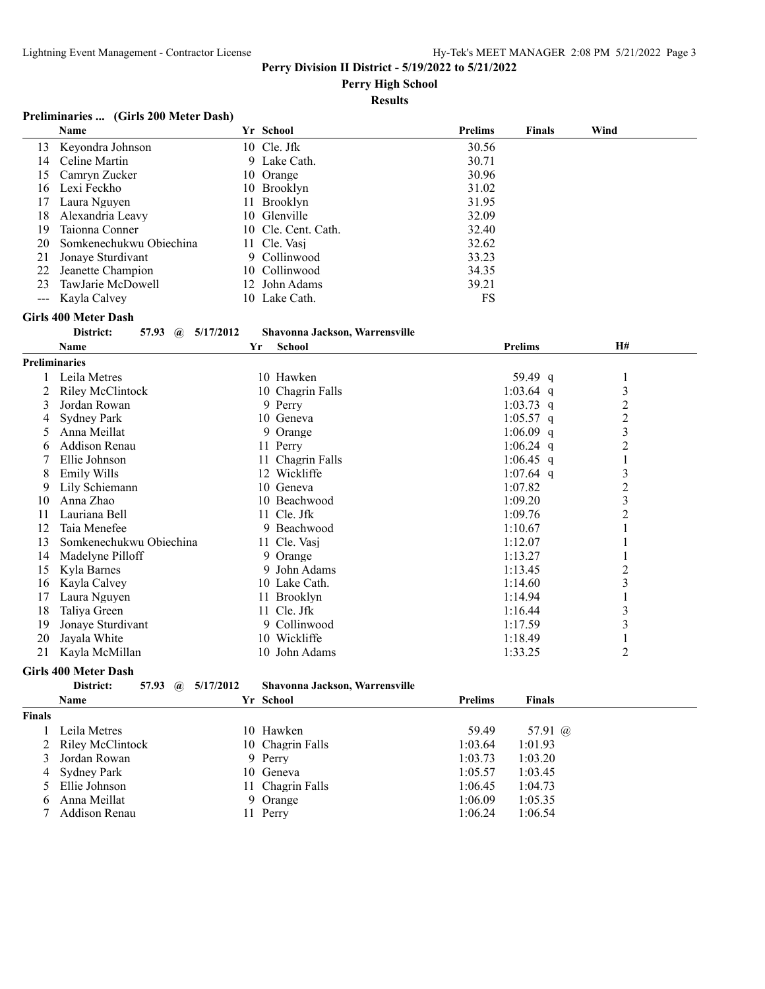**Perry High School**

## **Results**

## **Preliminaries ... (Girls 200 Meter Dash)**

|                      | Name                                        | Yr School                      | <b>Prelims</b> | <b>Finals</b>  | Wind           |  |
|----------------------|---------------------------------------------|--------------------------------|----------------|----------------|----------------|--|
| 13                   | Keyondra Johnson                            | 10 Cle. Jfk                    | 30.56          |                |                |  |
| 14                   | Celine Martin                               | 9 Lake Cath.                   | 30.71          |                |                |  |
| 15                   | Camryn Zucker                               | Orange<br>10                   | 30.96          |                |                |  |
| 16                   | Lexi Feckho                                 | 10<br>Brooklyn                 | 31.02          |                |                |  |
| 17                   | Laura Nguyen                                | Brooklyn<br>11                 | 31.95          |                |                |  |
| 18                   | Alexandria Leavy                            | 10 Glenville                   | 32.09          |                |                |  |
| 19                   | Taionna Conner                              | 10 Cle. Cent. Cath.            | 32.40          |                |                |  |
| 20                   | Somkenechukwu Obiechina                     | 11 Cle. Vasj                   | 32.62          |                |                |  |
| 21                   | Jonaye Sturdivant                           | Collinwood<br>9                | 33.23          |                |                |  |
| 22                   | Jeanette Champion                           | 10 Collinwood                  | 34.35          |                |                |  |
| 23                   | TawJarie McDowell                           | John Adams<br>12               | 39.21          |                |                |  |
| $\sim$ $\sim$        | Kayla Calvey                                | 10 Lake Cath.                  | <b>FS</b>      |                |                |  |
|                      | <b>Girls 400 Meter Dash</b>                 |                                |                |                |                |  |
|                      | District:<br>57.93<br>5/17/2012<br>$\omega$ | Shavonna Jackson, Warrensville |                |                |                |  |
|                      | <b>Name</b>                                 | School<br>Yr                   |                | <b>Prelims</b> | H#             |  |
| <b>Preliminaries</b> |                                             |                                |                |                |                |  |
|                      | Leila Metres                                | 10 Hawken                      |                | 59.49 q        | 1              |  |
| 2                    | <b>Riley McClintock</b>                     | 10 Chagrin Falls               |                | 1:03.64 q      | $\mathfrak{Z}$ |  |
| 3                    | Jordan Rowan                                | 9 Perry                        |                | $1:03.73$ q    | $\overline{2}$ |  |
| 4                    | <b>Sydney Park</b>                          | 10 Geneva                      |                | $1:05.57$ q    | $\overline{c}$ |  |
| 5                    | Anna Meillat                                | 9 Orange                       |                | $1:06.09$ q    | 3              |  |
| 6                    | <b>Addison Renau</b>                        | 11 Perry                       |                | 1:06.24 q      | $\overline{c}$ |  |
| 7                    | Ellie Johnson                               | 11 Chagrin Falls               |                | $1:06.45$ q    | 1              |  |
| 8                    | <b>Emily Wills</b>                          | 12 Wickliffe                   |                | 1:07.64 q      | 3              |  |
| 9                    | Lily Schiemann                              | 10 Geneva                      |                | 1:07.82        | $\overline{c}$ |  |
| 10                   | Anna Zhao                                   | 10 Beachwood                   |                | 1:09.20        | 3              |  |
| 11                   | Lauriana Bell                               | 11 Cle. Jfk                    |                | 1:09.76        | 2              |  |
| 12                   | Taia Menefee                                | 9 Beachwood                    |                | 1:10.67        |                |  |
| 13                   | Somkenechukwu Obiechina                     | 11 Cle. Vasj                   |                | 1:12.07        |                |  |
| 14                   | Madelyne Pilloff                            | 9 Orange                       |                | 1:13.27        |                |  |
| 15                   | Kyla Barnes                                 | 9 John Adams                   |                | 1:13.45        | $\overline{c}$ |  |
| 16                   | Kayla Calvey                                | 10 Lake Cath.                  |                | 1:14.60        | 3              |  |
| 17                   | Laura Nguyen                                | 11 Brooklyn                    |                | 1:14.94        | $\mathbf{1}$   |  |
| 18                   | Taliya Green                                | 11 Cle. Jfk                    |                | 1:16.44        | $\mathfrak{Z}$ |  |
| 19                   | Jonaye Sturdivant                           | 9 Collinwood                   |                | 1:17.59        | $\mathfrak{Z}$ |  |
| 20                   | Jayala White                                | 10 Wickliffe                   |                | 1:18.49        | $\mathbf{1}$   |  |
| 21                   | Kayla McMillan                              | 10 John Adams                  |                | 1:33.25        | $\overline{2}$ |  |

## **Girls 400 Meter Dash**

## **District: 57.93 @ 5/17/2012 Shavonna Jackson, Warrensville**

|               | <b>Name</b>        | Yr School        | <b>Prelims</b> | <b>Finals</b>  |
|---------------|--------------------|------------------|----------------|----------------|
| <b>Finals</b> |                    |                  |                |                |
|               | Leila Metres       | 10 Hawken        | 59.49          | 57.91 $\omega$ |
|               | 2 Riley McClintock | 10 Chagrin Falls | 1:03.64        | 1:01.93        |
|               | 3 Jordan Rowan     | 9 Perry          | 1:03.73        | 1:03.20        |
|               | 4 Sydney Park      | 10 Geneva        | 1:05.57        | 1:03.45        |
|               | 5 Ellie Johnson    | 11 Chaerin Falls | 1:06.45        | 1:04.73        |
|               | 6 Anna Meillat     | 9 Orange         | 1:06.09        | 1:05.35        |
|               | 7 Addison Renau    | 11 Perry         | 1:06.24        | 1:06.54        |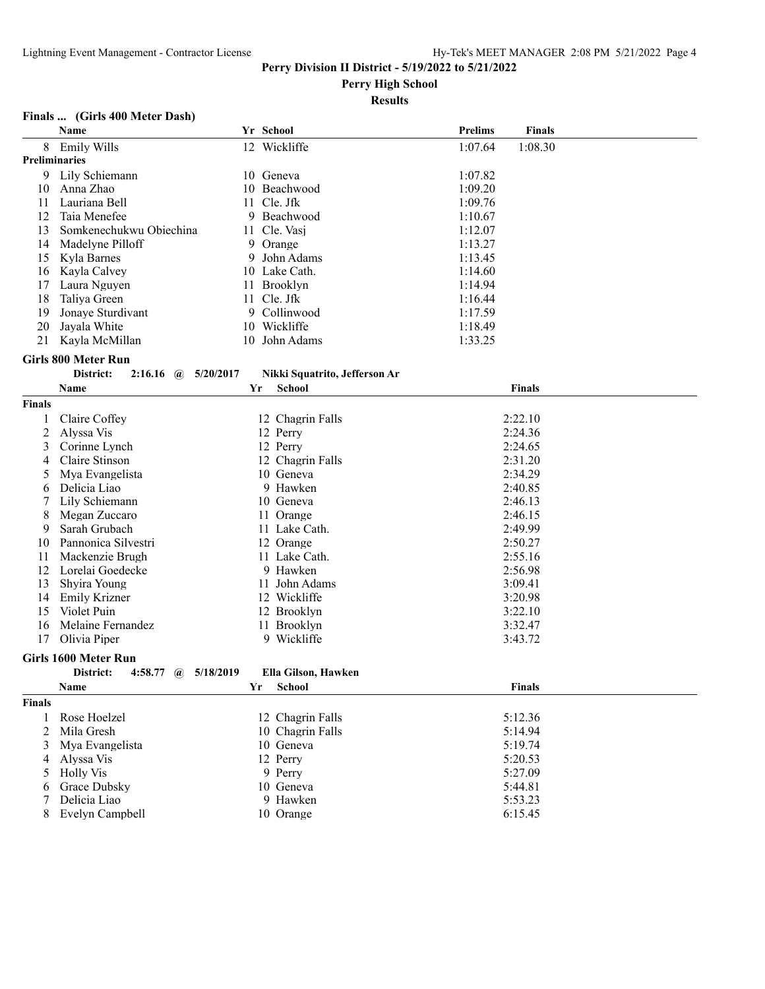**Perry High School**

#### **Results**

#### **Finals ... (Girls 400 Meter Dash)**

|                      | Name                                   |    | Yr School                     | Prelims | <b>Finals</b> |
|----------------------|----------------------------------------|----|-------------------------------|---------|---------------|
| 8                    | Emily Wills                            |    | 12 Wickliffe                  | 1:07.64 | 1:08.30       |
| <b>Preliminaries</b> |                                        |    |                               |         |               |
| 9                    | Lily Schiemann                         |    | 10 Geneva                     | 1:07.82 |               |
| 10                   | Anna Zhao                              |    | 10 Beachwood                  | 1:09.20 |               |
| 11                   | Lauriana Bell                          |    | 11 Cle. Jfk                   | 1:09.76 |               |
| 12                   | Taia Menefee                           |    | 9 Beachwood                   | 1:10.67 |               |
| 13                   | Somkenechukwu Obiechina                |    | 11 Cle. Vasj                  | 1:12.07 |               |
| 14                   | Madelyne Pilloff                       |    | 9 Orange                      | 1:13.27 |               |
| 15                   | Kyla Barnes                            |    | 9 John Adams                  | 1:13.45 |               |
| 16                   | Kayla Calvey                           |    | 10 Lake Cath.                 | 1:14.60 |               |
| 17                   | Laura Nguyen                           |    | 11 Brooklyn                   | 1:14.94 |               |
| 18                   | Taliya Green                           |    | 11 Cle. Jfk                   | 1:16.44 |               |
| 19                   | Jonaye Sturdivant                      |    | 9 Collinwood                  | 1:17.59 |               |
| 20                   | Jayala White                           |    | 10 Wickliffe                  | 1:18.49 |               |
| 21                   | Kayla McMillan                         |    | 10 John Adams                 | 1:33.25 |               |
|                      |                                        |    |                               |         |               |
|                      | <b>Girls 800 Meter Run</b>             |    |                               |         |               |
|                      | District:<br>$2:16.16$ (a) $5/20/2017$ |    | Nikki Squatrito, Jefferson Ar |         |               |
|                      | Name                                   | Yr | <b>School</b>                 |         | <b>Finals</b> |
| <b>Finals</b>        |                                        |    |                               |         |               |
| 1                    | Claire Coffey                          |    | 12 Chagrin Falls              |         | 2:22.10       |
| 2                    | Alyssa Vis                             |    | 12 Perry                      |         | 2:24.36       |
| 3                    | Corinne Lynch                          |    | 12 Perry                      |         | 2:24.65       |
| 4                    | Claire Stinson                         |    | 12 Chagrin Falls              |         | 2:31.20       |
| 5                    | Mya Evangelista                        |    | 10 Geneva                     |         | 2:34.29       |
| 6                    | Delicia Liao                           |    | 9 Hawken                      |         | 2:40.85       |
| 7                    | Lily Schiemann                         |    | 10 Geneva                     |         | 2:46.13       |
| 8                    | Megan Zuccaro                          |    | 11 Orange                     |         | 2:46.15       |
| 9                    | Sarah Grubach                          |    | 11 Lake Cath.                 |         | 2:49.99       |
| 10                   | Pannonica Silvestri                    |    | 12 Orange                     |         | 2:50.27       |
| 11                   | Mackenzie Brugh                        |    | 11 Lake Cath.                 |         | 2:55.16       |
| 12                   | Lorelai Goedecke                       |    | 9 Hawken                      |         | 2:56.98       |
| 13                   | Shyira Young                           |    | 11 John Adams                 |         | 3:09.41       |
| 14                   | <b>Emily Krizner</b>                   |    | 12 Wickliffe                  |         | 3:20.98       |
| 15                   | Violet Puin                            |    | 12 Brooklyn                   |         | 3:22.10       |
| 16                   | Melaine Fernandez                      |    | 11 Brooklyn                   |         | 3:32.47       |
| 17                   | Olivia Piper                           |    | 9 Wickliffe                   |         | 3:43.72       |
|                      | Girls 1600 Meter Run                   |    |                               |         |               |
|                      | District:                              |    |                               |         |               |
|                      | 4:58.77 @ $5/18/2019$                  |    | Ella Gilson, Hawken           |         |               |
|                      | Name                                   |    | Yr School                     |         | <b>Finals</b> |
| Finals               |                                        |    |                               |         |               |
| 1                    | Rose Hoelzel                           |    | 12 Chagrin Falls              |         | 5:12.36       |
| $\overline{2}$       | Mila Gresh                             |    | 10 Chagrin Falls              |         | 5:14.94       |
| 3                    | Mya Evangelista                        |    | 10 Geneva                     |         | 5:19.74       |
| 4                    | Alyssa Vis                             |    | 12 Perry                      |         | 5:20.53       |
| 5                    | <b>Holly Vis</b>                       |    | 9 Perry                       |         | 5:27.09       |
| 6                    | Grace Dubsky                           |    | 10 Geneva                     |         | 5:44.81       |
| 7                    | Delicia Liao                           |    | 9 Hawken                      |         | 5:53.23       |
| 8                    | Evelyn Campbell                        |    | 10 Orange                     |         | 6:15.45       |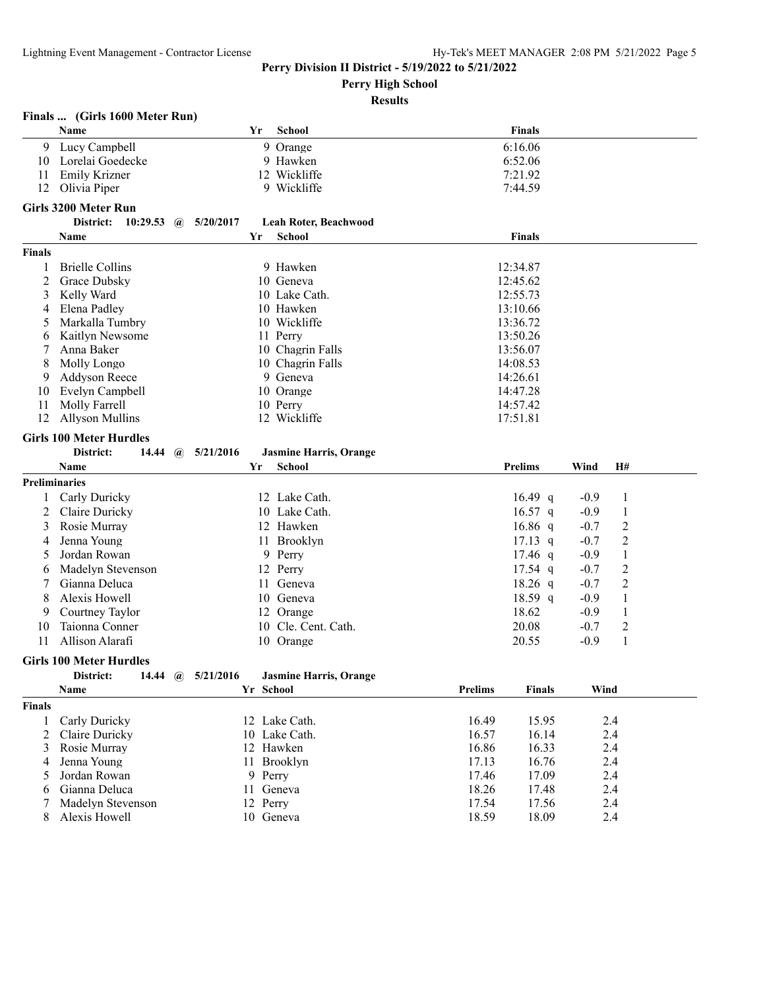**Perry High School**

|                      | Finals  (Girls 1600 Meter Run)        |           |                               |                |               |        |                |  |
|----------------------|---------------------------------------|-----------|-------------------------------|----------------|---------------|--------|----------------|--|
|                      | Name                                  | Yr        | School                        |                | <b>Finals</b> |        |                |  |
| 9.                   | Lucy Campbell                         |           | 9 Orange                      | 6:16.06        |               |        |                |  |
| 10                   | Lorelai Goedecke                      |           | 9 Hawken                      | 6:52.06        |               |        |                |  |
| 11                   | Emily Krizner                         |           | 12 Wickliffe                  | 7:21.92        |               |        |                |  |
| 12                   | Olivia Piper                          |           | 9 Wickliffe                   | 7:44.59        |               |        |                |  |
|                      | <b>Girls 3200 Meter Run</b>           |           |                               |                |               |        |                |  |
|                      | District:<br>10:29.53<br>$\mathbf{a}$ | 5/20/2017 | Leah Roter, Beachwood         |                |               |        |                |  |
|                      | Name                                  | Yr        | School                        |                | <b>Finals</b> |        |                |  |
| <b>Finals</b>        |                                       |           |                               |                |               |        |                |  |
| 1                    | <b>Brielle Collins</b>                |           | 9 Hawken                      | 12:34.87       |               |        |                |  |
| 2                    | Grace Dubsky                          |           | 10 Geneva                     | 12:45.62       |               |        |                |  |
| 3                    | Kelly Ward                            |           | 10 Lake Cath.                 | 12:55.73       |               |        |                |  |
| 4                    | Elena Padley                          |           | 10 Hawken                     | 13:10.66       |               |        |                |  |
| 5                    | Markalla Tumbry                       |           | 10 Wickliffe                  | 13:36.72       |               |        |                |  |
| 6                    | Kaitlyn Newsome                       |           | 11 Perry                      | 13:50.26       |               |        |                |  |
| 7                    | Anna Baker                            |           | 10 Chagrin Falls              | 13:56.07       |               |        |                |  |
| 8                    | Molly Longo                           |           | 10 Chagrin Falls              | 14:08.53       |               |        |                |  |
| 9                    | Addyson Reece                         |           | 9 Geneva                      | 14:26.61       |               |        |                |  |
| 10                   | Evelyn Campbell                       |           | 10 Orange                     | 14:47.28       |               |        |                |  |
| 11                   | Molly Farrell                         |           | 10 Perry                      | 14:57.42       |               |        |                |  |
| 12                   | <b>Allyson Mullins</b>                |           | 12 Wickliffe                  | 17:51.81       |               |        |                |  |
|                      | <b>Girls 100 Meter Hurdles</b>        |           |                               |                |               |        |                |  |
|                      | District:<br>14.44<br>$\omega$        | 5/21/2016 | <b>Jasmine Harris, Orange</b> |                |               |        |                |  |
|                      | Name                                  | Yr        | School                        | <b>Prelims</b> |               | Wind   | H#             |  |
| <b>Preliminaries</b> |                                       |           |                               |                |               |        |                |  |
|                      | Carly Duricky                         |           | 12 Lake Cath.                 |                | 16.49 q       | $-0.9$ | 1              |  |
| 2                    | Claire Duricky                        |           | 10 Lake Cath.                 |                | $16.57$ q     | $-0.9$ | 1              |  |
| 3                    | Rosie Murray                          |           | 12 Hawken                     |                | $16.86$ q     | $-0.7$ | $\overline{2}$ |  |
| 4                    | Jenna Young                           |           | 11 Brooklyn                   |                | $17.13$ q     | $-0.7$ | $\overline{c}$ |  |
| 5                    | Jordan Rowan                          |           | 9 Perry                       |                | $17.46$ q     | $-0.9$ | $\,1\,$        |  |
| 6                    | Madelyn Stevenson                     |           | 12 Perry                      |                | $17.54$ q     | $-0.7$ | $\overline{2}$ |  |
| 7                    | Gianna Deluca                         |           | 11 Geneva                     |                | $18.26$ q     | $-0.7$ | $\overline{c}$ |  |
| 8                    | Alexis Howell                         |           | 10 Geneva                     |                | 18.59 q       | $-0.9$ | $\mathbf{1}$   |  |
| 9                    | Courtney Taylor                       |           | 12 Orange                     |                | 18.62         | $-0.9$ | 1              |  |
| 10                   | Taionna Conner                        |           | 10 Cle. Cent. Cath.           |                | 20.08         | $-0.7$ | $\overline{c}$ |  |
| 11                   | Allison Alarafi                       |           | 10 Orange                     |                | 20.55         | $-0.9$ | $\mathbf{1}$   |  |
|                      | <b>Girls 100 Meter Hurdles</b>        |           |                               |                |               |        |                |  |
|                      | District:<br>14.44 $\omega$           | 5/21/2016 | <b>Jasmine Harris, Orange</b> |                |               |        |                |  |
|                      | Name                                  | Yr School |                               | <b>Prelims</b> | <b>Finals</b> | Wind   |                |  |
| <b>Finals</b>        |                                       |           |                               |                |               |        |                |  |
| 1                    | Carly Duricky                         |           | 12 Lake Cath.                 | 16.49          | 15.95         |        | 2.4            |  |
| 2                    | Claire Duricky                        |           | 10 Lake Cath.                 | 16.57          | 16.14         |        | 2.4            |  |
| 3                    | Rosie Murray                          |           | 12 Hawken                     | 16.86          | 16.33         |        | 2.4            |  |
| 4                    | Jenna Young                           |           | 11 Brooklyn                   | 17.13          | 16.76         |        | 2.4            |  |
| 5                    | Jordan Rowan                          | 9 Perry   |                               | 17.46          | 17.09         |        | 2.4            |  |
| 6                    | Gianna Deluca                         | 11 Geneva |                               | 18.26          | 17.48         |        | 2.4            |  |
| 7                    | Madelyn Stevenson                     | 12 Perry  |                               | 17.54          | 17.56         |        | 2.4            |  |
| 8                    | Alexis Howell                         | 10 Geneva |                               | 18.59          | 18.09         |        | 2.4            |  |
|                      |                                       |           |                               |                |               |        |                |  |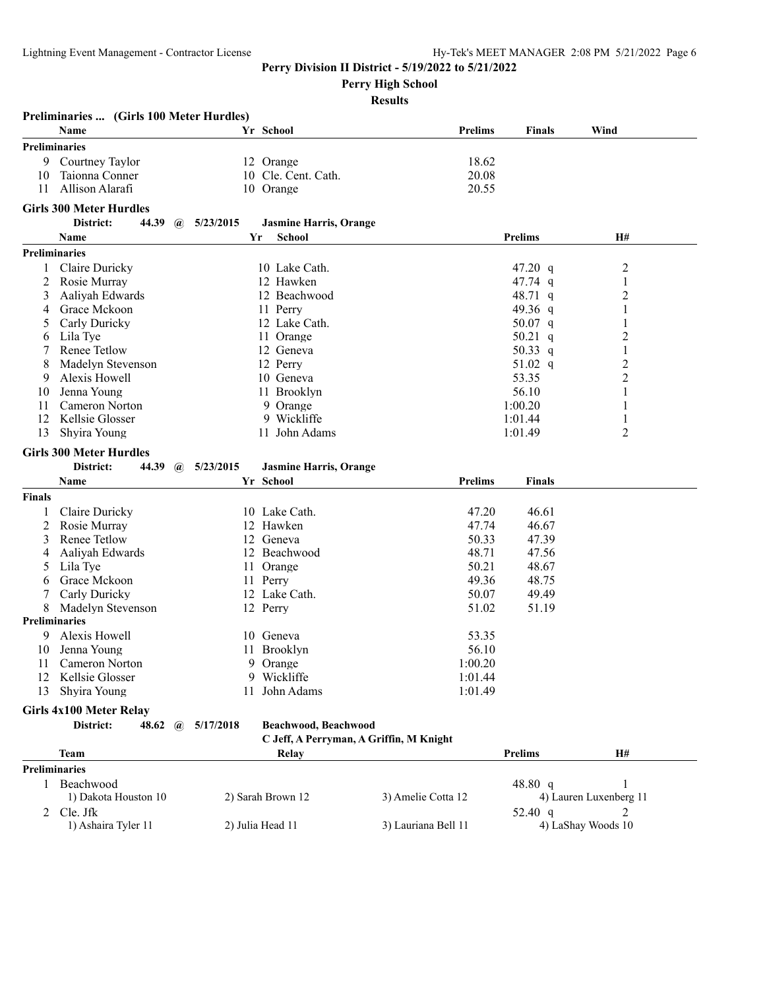**Perry High School**

|               | Preliminaries  (Girls 100 Meter Hurdles) |                  |                               |                                         |                |                         |
|---------------|------------------------------------------|------------------|-------------------------------|-----------------------------------------|----------------|-------------------------|
|               | Name                                     |                  | Yr School                     | <b>Prelims</b>                          | <b>Finals</b>  | Wind                    |
|               | <b>Preliminaries</b>                     |                  |                               |                                         |                |                         |
|               | 9 Courtney Taylor                        |                  | 12 Orange                     | 18.62                                   |                |                         |
| 10            | Taionna Conner                           |                  | 10 Cle. Cent. Cath.           | 20.08                                   |                |                         |
| 11            | Allison Alarafi                          |                  | 10 Orange                     | 20.55                                   |                |                         |
|               | <b>Girls 300 Meter Hurdles</b>           |                  |                               |                                         |                |                         |
|               | District:<br>44.39                       | 5/23/2015<br>(a) | <b>Jasmine Harris, Orange</b> |                                         |                |                         |
|               | Name                                     | Yr               | <b>School</b>                 |                                         | <b>Prelims</b> | H#                      |
|               | <b>Preliminaries</b>                     |                  |                               |                                         |                |                         |
| 1             | Claire Duricky                           |                  | 10 Lake Cath.                 |                                         | 47.20 q        |                         |
| 2             | Rosie Murray                             |                  | 12 Hawken                     |                                         | 47.74 $q$      | 2<br>1                  |
|               |                                          |                  | 12 Beachwood                  |                                         |                |                         |
| 3             | Aaliyah Edwards                          |                  |                               |                                         | 48.71 q        | $\overline{\mathbf{c}}$ |
| 4             | Grace Mckoon                             |                  | 11 Perry<br>12 Lake Cath.     |                                         | 49.36 q        | 1<br>1                  |
| 5             | Carly Duricky                            |                  |                               |                                         | 50.07 $q$      |                         |
| 6             | Lila Tye                                 |                  | 11 Orange                     |                                         | 50.21 q        | $\overline{c}$          |
|               | Renee Tetlow                             |                  | 12 Geneva                     |                                         | 50.33 q        | $\mathbf{1}$            |
| 8             | Madelyn Stevenson                        |                  | 12 Perry                      |                                         | 51.02 $q$      | $\overline{\mathbf{c}}$ |
| 9             | Alexis Howell                            |                  | 10 Geneva                     |                                         | 53.35          | $\overline{c}$          |
| 10            | Jenna Young                              |                  | 11 Brooklyn                   |                                         | 56.10          | 1                       |
| 11            | <b>Cameron Norton</b>                    |                  | 9 Orange                      |                                         | 1:00.20        | 1                       |
| 12            | Kellsie Glosser                          |                  | 9 Wickliffe                   |                                         | 1:01.44        | 1                       |
| 13            | Shyira Young                             |                  | 11 John Adams                 |                                         | 1:01.49        | 2                       |
|               | <b>Girls 300 Meter Hurdles</b>           |                  |                               |                                         |                |                         |
|               | District:<br>44.39 $\omega$              | 5/23/2015        | <b>Jasmine Harris, Orange</b> |                                         |                |                         |
|               | Name                                     |                  | Yr School                     | <b>Prelims</b>                          | <b>Finals</b>  |                         |
| <b>Finals</b> |                                          |                  |                               |                                         |                |                         |
|               | Claire Duricky                           |                  | 10 Lake Cath.                 | 47.20                                   | 46.61          |                         |
| 2             | Rosie Murray                             |                  | 12 Hawken                     | 47.74                                   | 46.67          |                         |
| 3             | Renee Tetlow                             | 12               | Geneva                        | 50.33                                   | 47.39          |                         |
| 4             | Aaliyah Edwards                          |                  | 12 Beachwood                  | 48.71                                   | 47.56          |                         |
| 5             | Lila Tye                                 | 11               | Orange                        | 50.21                                   | 48.67          |                         |
| 6             | Grace Mckoon                             |                  | 11 Perry                      | 49.36                                   | 48.75          |                         |
|               | Carly Duricky                            |                  | 12 Lake Cath.                 | 50.07                                   | 49.49          |                         |
| 8             | Madelyn Stevenson                        |                  | 12 Perry                      | 51.02                                   | 51.19          |                         |
|               | <b>Preliminaries</b>                     |                  |                               |                                         |                |                         |
| 9             | Alexis Howell                            |                  | 10 Geneva                     | 53.35                                   |                |                         |
| 10            | Jenna Young                              | 11               | Brooklyn                      | 56.10                                   |                |                         |
| 11            | Cameron Norton                           |                  | 9 Orange                      | 1:00.20                                 |                |                         |
| 12            | Kellsie Glosser                          |                  | 9 Wickliffe                   | 1:01.44                                 |                |                         |
| 13            | Shyira Young                             | 11               | John Adams                    | 1:01.49                                 |                |                         |
|               |                                          |                  |                               |                                         |                |                         |
|               | <b>Girls 4x100 Meter Relay</b>           |                  |                               |                                         |                |                         |
|               | District:<br>48.62                       | 5/17/2018<br>(a) | Beachwood, Beachwood          |                                         |                |                         |
|               |                                          |                  |                               | C Jeff, A Perryman, A Griffin, M Knight |                |                         |
|               | Team                                     |                  | Relay                         |                                         | <b>Prelims</b> | H#                      |
|               | <b>Preliminaries</b>                     |                  |                               |                                         |                |                         |
|               | 1 Beachwood                              |                  |                               |                                         | 48.80 q        | 1                       |
|               | 1) Dakota Houston 10                     |                  | 2) Sarah Brown 12             | 3) Amelie Cotta 12                      |                | 4) Lauren Luxenberg 11  |
| 2             | Cle. Jfk                                 |                  |                               |                                         | 52.40 q        | 2                       |
|               | 1) Ashaira Tyler 11                      |                  | 2) Julia Head 11              | 3) Lauriana Bell 11                     |                | 4) LaShay Woods 10      |
|               |                                          |                  |                               |                                         |                |                         |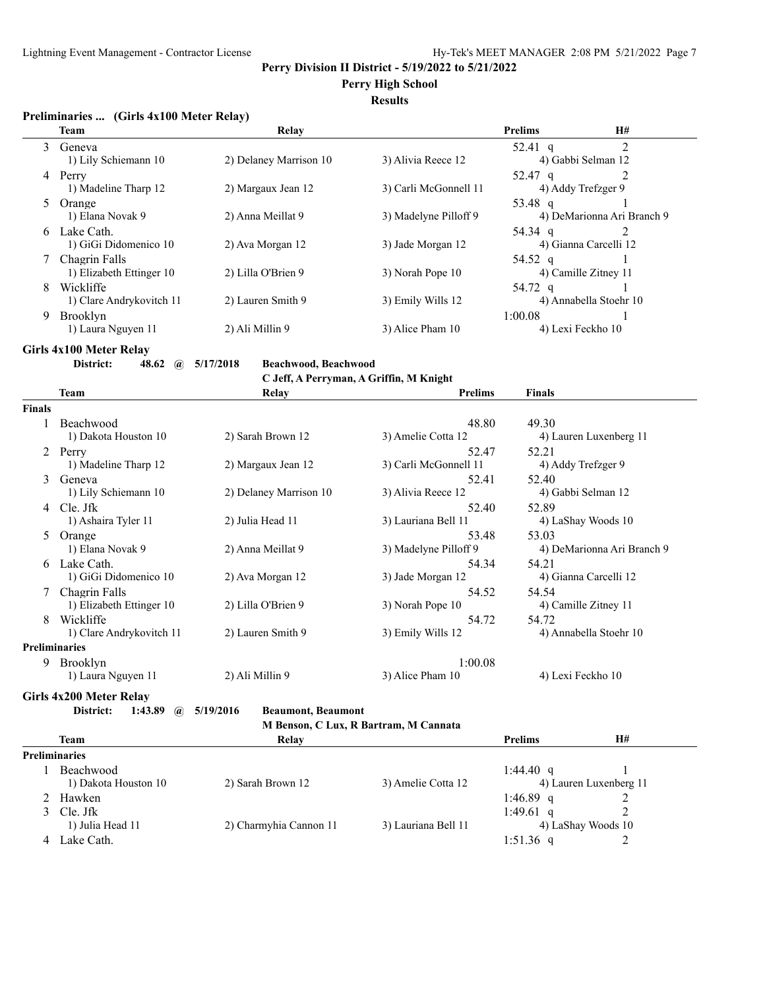## **Perry High School**

## **Results**

## **Preliminaries ... (Girls 4x100 Meter Relay)**

|    | <b>Team</b>                   | Relay                  |                       | <b>Prelims</b>    | <b>H#</b>                  |
|----|-------------------------------|------------------------|-----------------------|-------------------|----------------------------|
| 3  | Geneva                        |                        |                       | 52.41 q           |                            |
| 4  | 1) Lily Schiemann 10<br>Perry | 2) Delaney Marrison 10 | 3) Alivia Reece 12    | 52.47 $q$         | 4) Gabbi Selman 12         |
|    | 1) Madeline Tharp 12          | 2) Margaux Jean 12     | 3) Carli McGonnell 11 |                   | 4) Addy Trefzger 9         |
| 5  | Orange                        |                        |                       | 53.48 q           |                            |
|    | 1) Elana Novak 9              | 2) Anna Meillat 9      | 3) Madelyne Pilloff 9 |                   | 4) DeMarionna Ari Branch 9 |
| 6. | Lake Cath.                    |                        |                       | 54.34 q           |                            |
|    | 1) GiGi Didomenico 10         | 2) Ava Morgan 12       | 3) Jade Morgan 12     |                   | 4) Gianna Carcelli 12      |
|    | Chagrin Falls                 |                        |                       | 54.52 q           |                            |
|    | 1) Elizabeth Ettinger 10      | 2) Lilla O'Brien 9     | 3) Norah Pope 10      |                   | 4) Camille Zitney 11       |
| 8  | Wickliffe                     |                        |                       | 54.72 q           |                            |
|    | 1) Clare Andrykovitch 11      | 2) Lauren Smith 9      | 3) Emily Wills 12     |                   | 4) Annabella Stoehr 10     |
| 9  | <b>Brooklyn</b>               |                        |                       | 1:00.08           |                            |
|    | 1) Laura Nguyen 11            | 2) Ali Millin 9        | 3) Alice Pham 10      | 4) Lexi Feckho 10 |                            |

**Girls 4x100 Meter Relay<br>District:** 48.62 @ 5/17/2018

**District: 48.62 @ 5/17/2018 Beachwood, Beachwood**

**C Jeff, A Perryman, A Griffin, M Knight**

|        | Team                     | Relay                  | <b>Prelims</b>        | <b>Finals</b>              |
|--------|--------------------------|------------------------|-----------------------|----------------------------|
| Finals |                          |                        |                       |                            |
|        | Beachwood                |                        | 48.80                 | 49.30                      |
|        | 1) Dakota Houston 10     | 2) Sarah Brown 12      | 3) Amelie Cotta 12    | 4) Lauren Luxenberg 11     |
| 2      | Perry                    |                        | 52.47                 | 52.21                      |
|        | 1) Madeline Tharp 12     | 2) Margaux Jean 12     | 3) Carli McGonnell 11 | 4) Addy Trefzger 9         |
| 3      | Geneva                   |                        | 52.41                 | 52.40                      |
|        | 1) Lily Schiemann 10     | 2) Delaney Marrison 10 | 3) Alivia Reece 12    | 4) Gabbi Selman 12         |
| 4      | Cle. Jfk                 |                        | 52.40                 | 52.89                      |
|        | 1) Ashaira Tyler 11      | 2) Julia Head 11       | 3) Lauriana Bell 11   | 4) LaShay Woods 10         |
| 5      | Orange                   |                        | 53.48                 | 53.03                      |
|        | 1) Elana Novak 9         | 2) Anna Meillat 9      | 3) Madelyne Pilloff 9 | 4) DeMarionna Ari Branch 9 |
| 6      | Lake Cath.               |                        | 54.34                 | 54.21                      |
|        | 1) GiGi Didomenico 10    | 2) Ava Morgan 12       | 3) Jade Morgan 12     | 4) Gianna Carcelli 12      |
|        | Chagrin Falls            |                        | 54.52                 | 54.54                      |
|        | 1) Elizabeth Ettinger 10 | 2) Lilla O'Brien 9     | 3) Norah Pope 10      | 4) Camille Zitney 11       |
| 8      | Wickliffe                |                        | 54.72                 | 54.72                      |
|        | 1) Clare Andrykovitch 11 | 2) Lauren Smith 9      | 3) Emily Wills 12     | 4) Annabella Stoehr 10     |
|        | Preliminaries            |                        |                       |                            |
| 9      | <b>Brooklyn</b>          |                        | 1:00.08               |                            |
|        | 1) Laura Nguyen 11       | 2) Ali Millin 9        | 3) Alice Pham 10      | 4) Lexi Feckho 10          |

**Girls 4x200 Meter Relay**

**District: 1:43.89 @ 5/19/2016 Beaumont, Beaumont**

```
M Benson, C Lux, R Bartram, M Cannata
```

| <b>Team</b>          | Relav                  |                     | <b>Prelims</b>         | H#                 |  |
|----------------------|------------------------|---------------------|------------------------|--------------------|--|
| <b>Preliminaries</b> |                        |                     |                        |                    |  |
| <b>Beachwood</b>     |                        |                     | 1:44.40 q              |                    |  |
| 1) Dakota Houston 10 | 2) Sarah Brown 12      | 3) Amelie Cotta 12  | 4) Lauren Luxenberg 11 |                    |  |
| 2 Hawken             |                        |                     | 1:46.89 q              |                    |  |
| 3 Cle. Jfk           |                        |                     | 1:49.61 q              |                    |  |
| 1) Julia Head 11     | 2) Charmyhia Cannon 11 | 3) Lauriana Bell 11 |                        | 4) LaShay Woods 10 |  |
| Lake Cath.           |                        |                     | 1:51.36 q              |                    |  |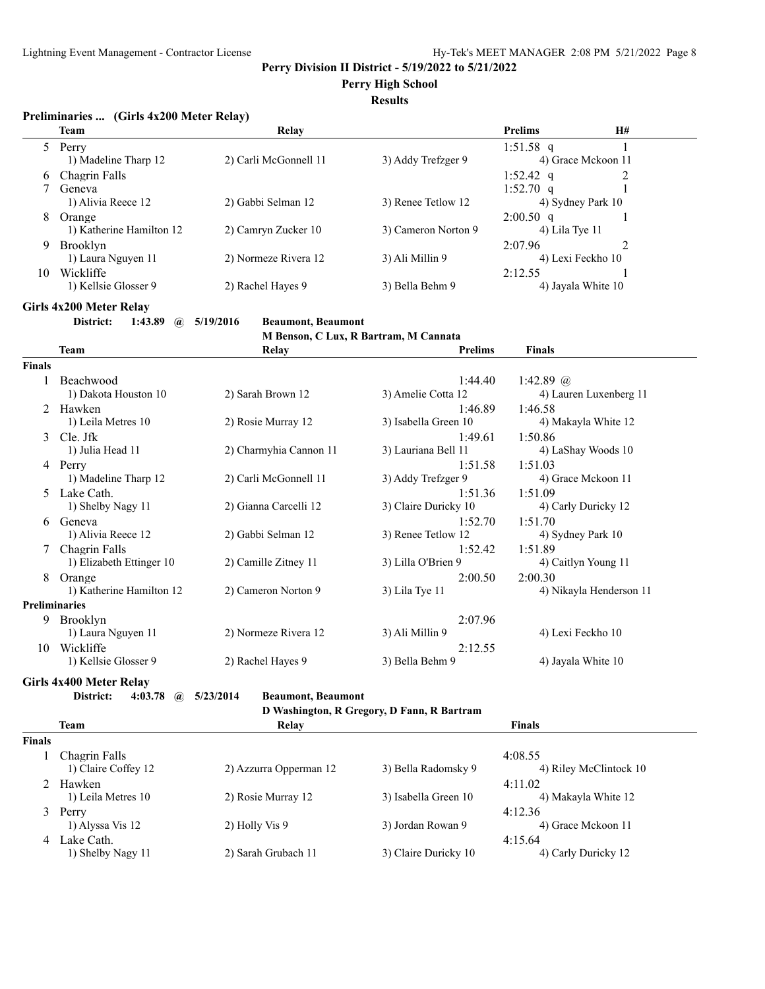**Perry High School**

#### **Results**

## **Preliminaries ... (Girls 4x200 Meter Relay)**

|    | <b>Team</b>              | Relay                 |                     | <b>Prelims</b>    | <b>H#</b>          |  |
|----|--------------------------|-----------------------|---------------------|-------------------|--------------------|--|
|    | Perry                    |                       |                     | 1:51.58 q         |                    |  |
|    | 1) Madeline Tharp 12     | 2) Carli McGonnell 11 | 3) Addy Trefzger 9  |                   | 4) Grace Mckoon 11 |  |
| 6  | Chagrin Falls            |                       |                     | 1:52.42 q         |                    |  |
|    | Geneva                   |                       |                     | 1:52.70 $q$       |                    |  |
|    | 1) Alivia Reece 12       | 2) Gabbi Selman 12    | 3) Renee Tetlow 12  | 4) Sydney Park 10 |                    |  |
| 8  | Orange                   |                       |                     | $2:00.50$ q       |                    |  |
|    | 1) Katherine Hamilton 12 | 2) Camryn Zucker 10   | 3) Cameron Norton 9 | $(4)$ Lila Tye 11 |                    |  |
| 9  | <b>Brooklyn</b>          |                       |                     | 2:07.96           |                    |  |
|    | 1) Laura Nguyen 11       | 2) Normeze Rivera 12  | 3) Ali Millin 9     | 4) Lexi Feckho 10 |                    |  |
| 10 | Wickliffe                |                       |                     | 2:12.55           |                    |  |
|    | 1) Kellsie Glosser 9     | 2) Rachel Hayes 9     | 3) Bella Behm 9     |                   | 4) Jayala White 10 |  |

## **Girls 4x200 Meter Relay**

**District: 1:43.89 @ 5/19/2016 Beaumont, Beaumont**

**M Benson, C Lux, R Bartram, M Cannata**

|                      | <b>Team</b>              | Relay                  | <b>Prelims</b>       | <b>Finals</b>           |
|----------------------|--------------------------|------------------------|----------------------|-------------------------|
| <b>Finals</b>        |                          |                        |                      |                         |
|                      | Beachwood                |                        | 1:44.40              | 1:42.89 $@$             |
|                      | 1) Dakota Houston 10     | 2) Sarah Brown 12      | 3) Amelie Cotta 12   | 4) Lauren Luxenberg 11  |
| 2                    | Hawken                   |                        | 1:46.89              | 1:46.58                 |
|                      | 1) Leila Metres 10       | 2) Rosie Murray 12     | 3) Isabella Green 10 | 4) Makayla White 12     |
| $\mathcal{F}$        | Cle. Jfk                 |                        | 1:49.61              | 1:50.86                 |
|                      | 1) Julia Head 11         | 2) Charmyhia Cannon 11 | 3) Lauriana Bell 11  | 4) LaShay Woods 10      |
| 4                    | Perry                    |                        | 1:51.58              | 1:51.03                 |
|                      | 1) Madeline Tharp 12     | 2) Carli McGonnell 11  | 3) Addy Trefzger 9   | 4) Grace Mckoon 11      |
| 5.                   | Lake Cath.               |                        | 1:51.36              | 1:51.09                 |
|                      | 1) Shelby Nagy 11        | 2) Gianna Carcelli 12  | 3) Claire Duricky 10 | 4) Carly Duricky 12     |
| 6                    | Geneva                   |                        | 1:52.70              | 1:51.70                 |
|                      | 1) Alivia Reece 12       | 2) Gabbi Selman 12     | 3) Renee Tetlow 12   | 4) Sydney Park 10       |
|                      | Chagrin Falls            |                        | 1:52.42              | 1:51.89                 |
|                      | 1) Elizabeth Ettinger 10 | 2) Camille Zitney 11   | 3) Lilla O'Brien 9   | 4) Caitlyn Young 11     |
| 8                    | Orange                   |                        | 2:00.50              | 2:00.30                 |
|                      | 1) Katherine Hamilton 12 | 2) Cameron Norton 9    | 3) Lila Tye 11       | 4) Nikayla Henderson 11 |
| <b>Preliminaries</b> |                          |                        |                      |                         |
| 9                    | Brooklyn                 |                        | 2:07.96              |                         |
|                      | 1) Laura Nguyen 11       | 2) Normeze Rivera 12   | 3) Ali Millin 9      | 4) Lexi Feckho 10       |
| 10                   | Wickliffe                |                        | 2:12.55              |                         |
|                      | 1) Kellsie Glosser 9     | 2) Rachel Hayes 9      | 3) Bella Behm 9      | 4) Jayala White 10      |

**Girls 4x400 Meter Relay**

**District: 4:03.78 @ 5/23/2014 Beaumont, Beaumont**

```
D Washington, R Gregory, D Fann, R Bartram
```

|               | <b>Team</b>         | Relay                  |                      | <b>Finals</b>          |  |
|---------------|---------------------|------------------------|----------------------|------------------------|--|
| <b>Finals</b> |                     |                        |                      |                        |  |
|               | Chagrin Falls       |                        |                      | 4:08.55                |  |
|               | 1) Claire Coffey 12 | 2) Azzurra Opperman 12 | 3) Bella Radomsky 9  | 4) Riley McClintock 10 |  |
|               | 2 Hawken            |                        |                      | 4:11.02                |  |
|               | 1) Leila Metres 10  | 2) Rosie Murray 12     | 3) Isabella Green 10 | 4) Makayla White 12    |  |
|               | 3 Perry             |                        |                      | 4:12.36                |  |
|               | 1) Alyssa Vis 12    | 2) Holly Vis 9         | 3) Jordan Rowan 9    | 4) Grace Mckoon 11     |  |
|               | 4 Lake Cath.        |                        |                      | 4:15.64                |  |
|               | 1) Shelby Nagy 11   | 2) Sarah Grubach 11    | 3) Claire Duricky 10 | 4) Carly Duricky 12    |  |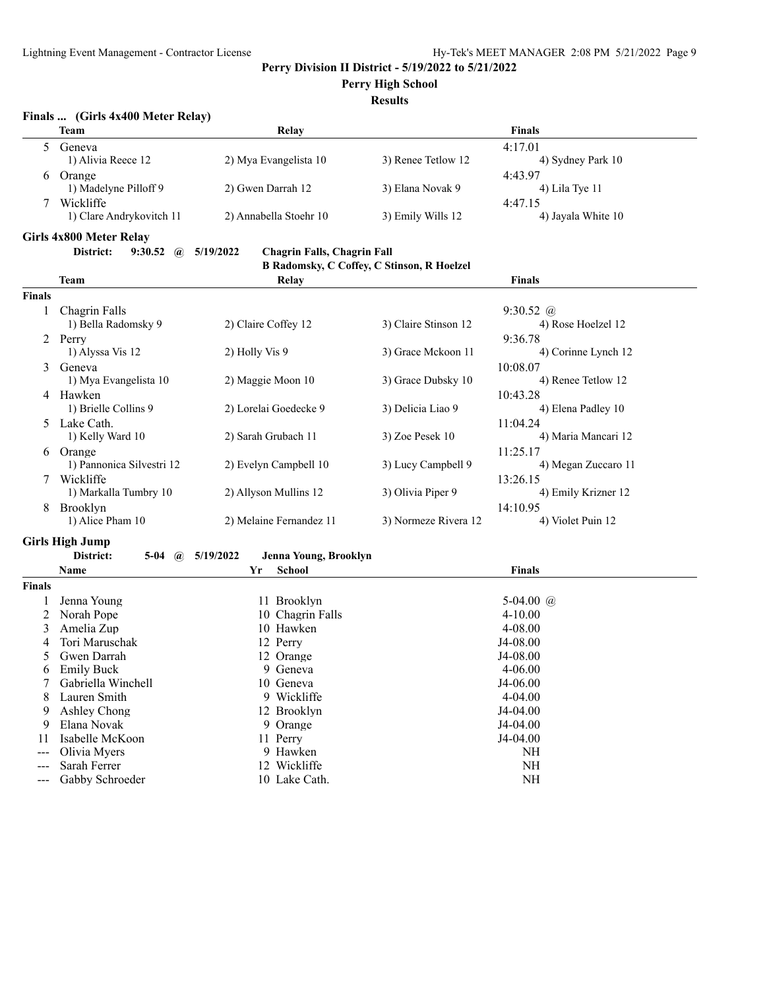**Perry High School**

| Finals |  |  | (Girls 4x400 Meter Relay) |  |  |
|--------|--|--|---------------------------|--|--|
|--------|--|--|---------------------------|--|--|

|               | <b>Team</b>                                  | Relay                                           |                      | <b>Finals</b>                   |
|---------------|----------------------------------------------|-------------------------------------------------|----------------------|---------------------------------|
| 5             | Geneva                                       |                                                 |                      | 4:17.01                         |
|               | 1) Alivia Reece 12                           | 2) Mya Evangelista 10                           | 3) Renee Tetlow 12   | 4) Sydney Park 10               |
| 6             | Orange                                       |                                                 |                      | 4:43.97                         |
|               | 1) Madelyne Pilloff 9                        | 2) Gwen Darrah 12                               | 3) Elana Novak 9     | 4) Lila Tye 11                  |
|               | Wickliffe                                    |                                                 |                      | 4:47.15                         |
|               | 1) Clare Andrykovitch 11                     | 2) Annabella Stoehr 10                          | 3) Emily Wills 12    | 4) Jayala White 10              |
|               |                                              |                                                 |                      |                                 |
|               | Girls 4x800 Meter Relay                      |                                                 |                      |                                 |
|               | District:<br>$9:30.52 \quad \textcircled{a}$ | 5/19/2022<br><b>Chagrin Falls, Chagrin Fall</b> |                      |                                 |
|               |                                              | B Radomsky, C Coffey, C Stinson, R Hoelzel      |                      |                                 |
|               | Team                                         | Relay                                           |                      | <b>Finals</b>                   |
| <b>Finals</b> |                                              |                                                 |                      |                                 |
| 1             | Chagrin Falls                                |                                                 |                      | $9:30.52 \ @$                   |
|               | 1) Bella Radomsky 9                          | 2) Claire Coffey 12                             | 3) Claire Stinson 12 | 4) Rose Hoelzel 12              |
|               | 2 Perry                                      |                                                 |                      | 9:36.78                         |
|               | 1) Alyssa Vis 12                             | 2) Holly Vis 9                                  | 3) Grace Mckoon 11   | 4) Corinne Lynch 12             |
| 3             | Geneva                                       |                                                 |                      | 10:08.07                        |
|               | 1) Mya Evangelista 10                        | 2) Maggie Moon 10                               | 3) Grace Dubsky 10   | 4) Renee Tetlow 12              |
|               | 4 Hawken                                     |                                                 |                      | 10:43.28                        |
|               | 1) Brielle Collins 9                         | 2) Lorelai Goedecke 9                           | 3) Delicia Liao 9    | 4) Elena Padley 10              |
| 5.            | Lake Cath.                                   |                                                 |                      | 11:04.24                        |
|               | 1) Kelly Ward 10                             | 2) Sarah Grubach 11                             | 3) Zoe Pesek 10      | 4) Maria Mancari 12             |
|               |                                              |                                                 |                      |                                 |
| 6             | Orange<br>1) Pannonica Silvestri 12          | 2) Evelyn Campbell 10                           | 3) Lucy Campbell 9   | 11:25.17<br>4) Megan Zuccaro 11 |
|               |                                              |                                                 |                      |                                 |
|               | Wickliffe                                    |                                                 |                      | 13:26.15                        |
|               | 1) Markalla Tumbry 10                        | 2) Allyson Mullins 12                           | 3) Olivia Piper 9    | 4) Emily Krizner 12             |
| 8             | Brooklyn                                     |                                                 |                      | 14:10.95                        |
|               | 1) Alice Pham 10                             | 2) Melaine Fernandez 11                         | 3) Normeze Rivera 12 | 4) Violet Puin 12               |
|               | <b>Girls High Jump</b>                       |                                                 |                      |                                 |
|               | District:<br>5-04<br>$\mathbf{a}$            | 5/19/2022<br>Jenna Young, Brooklyn              |                      |                                 |
|               | Name                                         | <b>School</b><br>Yr                             |                      | <b>Finals</b>                   |
| <b>Finals</b> |                                              |                                                 |                      |                                 |
| 1             | Jenna Young                                  | 11 Brooklyn                                     |                      | 5-04.00 $\omega$                |
| 2             | Norah Pope                                   | 10 Chagrin Falls                                |                      | $4 - 10.00$                     |
| 3             | Amelia Zup                                   | 10 Hawken                                       |                      | 4-08.00                         |
| 4             | Tori Maruschak                               | 12 Perry                                        |                      | J4-08.00                        |
| 5             | Gwen Darrah                                  | 12 Orange                                       |                      | J4-08.00                        |
| 6             | <b>Emily Buck</b>                            | 9 Geneva                                        |                      | 4-06.00                         |
|               | Gabriella Winchell                           | 10 Geneva                                       |                      | J4-06.00                        |
| 8             | Lauren Smith                                 | 9 Wickliffe                                     |                      | $4 - 04.00$                     |
| 9             | Ashley Chong                                 | 12 Brooklyn                                     |                      | J4-04.00                        |
| 9             | Elana Novak                                  | 9 Orange                                        |                      | J4-04.00                        |
| 11            | Isabelle McKoon                              | 11 Perry                                        |                      | J4-04.00                        |
| ---           | Olivia Myers                                 | 9 Hawken                                        |                      | NH                              |
| ---           | Sarah Ferrer                                 | 12 Wickliffe                                    |                      | $\rm{NH}$                       |
| ---           | Gabby Schroeder                              | 10 Lake Cath.                                   |                      | $\rm NH$                        |
|               |                                              |                                                 |                      |                                 |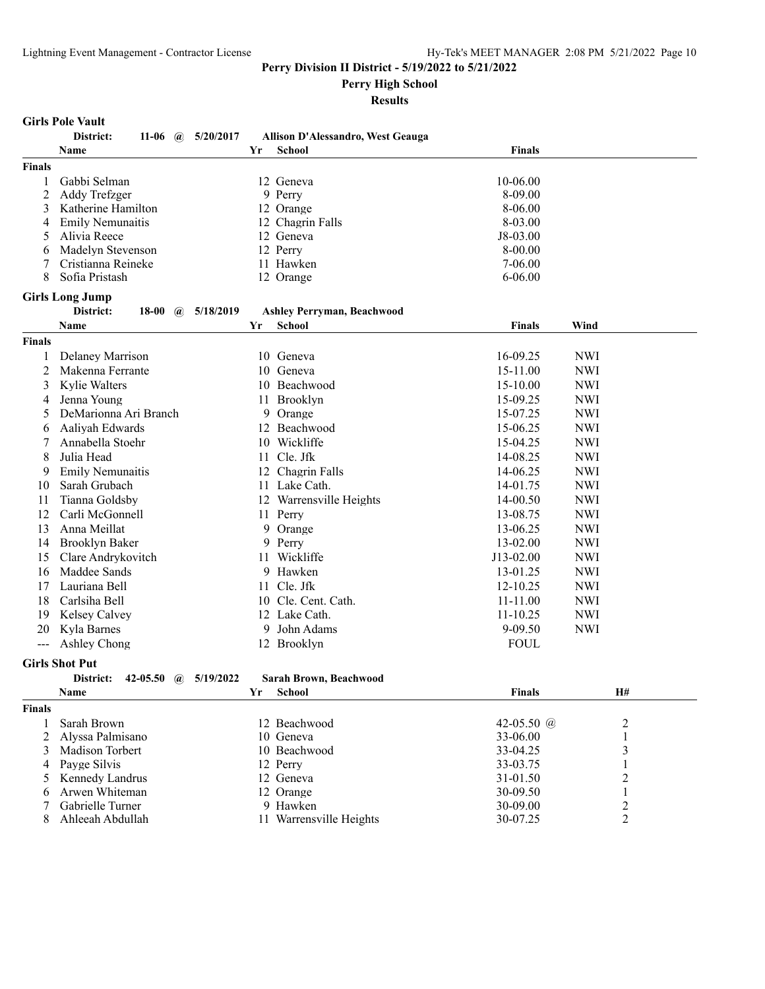**Perry High School**

**Results**

#### **Girls Pole Vault**

|                | District:<br>11-06 $\omega$    | 5/20/2017 |    | Allison D'Alessandro, West Geauga |               |            |                |
|----------------|--------------------------------|-----------|----|-----------------------------------|---------------|------------|----------------|
|                | Name                           |           | Yr | <b>School</b>                     | <b>Finals</b> |            |                |
| <b>Finals</b>  |                                |           |    |                                   |               |            |                |
| 1              | Gabbi Selman                   |           |    | 12 Geneva                         | 10-06.00      |            |                |
| 2              | Addy Trefzger                  |           |    | 9 Perry                           | 8-09.00       |            |                |
| 3              | Katherine Hamilton             |           |    | 12 Orange                         | 8-06.00       |            |                |
| 4              | <b>Emily Nemunaitis</b>        |           |    | 12 Chagrin Falls                  | 8-03.00       |            |                |
| 5              | Alivia Reece                   |           |    | 12 Geneva                         | $J8-03.00$    |            |                |
| 6              | Madelyn Stevenson              |           |    | 12 Perry                          | $8 - 00.00$   |            |                |
| 7              | Cristianna Reineke             |           |    | 11 Hawken                         | $7 - 06.00$   |            |                |
| 8              | Sofia Pristash                 |           |    | 12 Orange                         | $6 - 06.00$   |            |                |
|                | <b>Girls Long Jump</b>         |           |    |                                   |               |            |                |
|                | District:<br>18-00 $\omega$    | 5/18/2019 |    | <b>Ashley Perryman, Beachwood</b> |               |            |                |
|                | Name                           |           | Yr | <b>School</b>                     | <b>Finals</b> | Wind       |                |
| <b>Finals</b>  |                                |           |    |                                   |               |            |                |
| 1              | Delaney Marrison               |           |    | 10 Geneva                         | 16-09.25      | <b>NWI</b> |                |
| $\overline{2}$ | Makenna Ferrante               |           |    | 10 Geneva                         | 15-11.00      | <b>NWI</b> |                |
| 3              | Kylie Walters                  |           |    | 10 Beachwood                      | 15-10.00      | <b>NWI</b> |                |
| 4              | Jenna Young                    |           |    | 11 Brooklyn                       | 15-09.25      | <b>NWI</b> |                |
| 5              | DeMarionna Ari Branch          |           |    | 9 Orange                          | 15-07.25      | <b>NWI</b> |                |
| 6              | Aaliyah Edwards                |           |    | 12 Beachwood                      | 15-06.25      | <b>NWI</b> |                |
| 7              | Annabella Stoehr               |           |    | 10 Wickliffe                      | 15-04.25      | <b>NWI</b> |                |
| 8              | Julia Head                     |           |    | 11 Cle. Jfk                       | 14-08.25      | <b>NWI</b> |                |
| 9              | <b>Emily Nemunaitis</b>        |           |    | 12 Chagrin Falls                  | 14-06.25      | <b>NWI</b> |                |
| 10             | Sarah Grubach                  |           |    | 11 Lake Cath.                     | 14-01.75      | <b>NWI</b> |                |
| 11             | Tianna Goldsby                 |           |    | 12 Warrensville Heights           | 14-00.50      | <b>NWI</b> |                |
| 12             | Carli McGonnell                |           |    | 11 Perry                          | 13-08.75      | <b>NWI</b> |                |
| 13             | Anna Meillat                   |           |    | 9 Orange                          | 13-06.25      | <b>NWI</b> |                |
| 14             | Brooklyn Baker                 |           |    | 9 Perry                           | 13-02.00      | <b>NWI</b> |                |
| 15             | Clare Andrykovitch             |           |    | 11 Wickliffe                      | J13-02.00     | <b>NWI</b> |                |
| 16             | Maddee Sands                   |           |    | 9 Hawken                          | 13-01.25      | <b>NWI</b> |                |
| 17             | Lauriana Bell                  |           |    | 11 Cle. Jfk                       | 12-10.25      | <b>NWI</b> |                |
| 18             | Carlsiha Bell                  |           |    | 10 Cle. Cent. Cath.               | 11-11.00      | <b>NWI</b> |                |
| 19             | Kelsey Calvey                  |           |    | 12 Lake Cath.                     | $11 - 10.25$  | <b>NWI</b> |                |
| 20             | Kyla Barnes                    |           |    | 9 John Adams                      | 9-09.50       | <b>NWI</b> |                |
| $\frac{1}{2}$  | Ashley Chong                   |           |    | 12 Brooklyn                       | <b>FOUL</b>   |            |                |
|                | <b>Girls Shot Put</b>          |           |    |                                   |               |            |                |
|                | District:<br>42-05.50 $\omega$ | 5/19/2022 |    | Sarah Brown, Beachwood            |               |            |                |
|                | <b>Name</b>                    |           | Yr | <b>School</b>                     | <b>Finals</b> |            | <b>H#</b>      |
| <b>Finals</b>  |                                |           |    |                                   |               |            |                |
| 1              | Sarah Brown                    |           |    | 12 Beachwood                      | 42-05.50 @    |            | $\overline{c}$ |
| 2              | Alyssa Palmisano               |           |    | 10 Geneva                         | 33-06.00      |            | $\mathbf{1}$   |
| 3              | Madison Torbert                |           |    | 10 Beachwood                      | 33-04.25      |            | 3              |
| 4              | Payge Silvis                   |           |    | 12 Perry                          | 33-03.75      |            | $\mathbf{1}$   |

Kennedy Landrus 12 Geneva 31-01.50 2

6 Arwen Whiteman 12 Orange 30-09.50 1 7 Gabrielle Turner 19 Hawken 19 Hawken 30-09.00 2

8 Ahleeah Abdullah 11 Warrensville Heights 30-07.25 2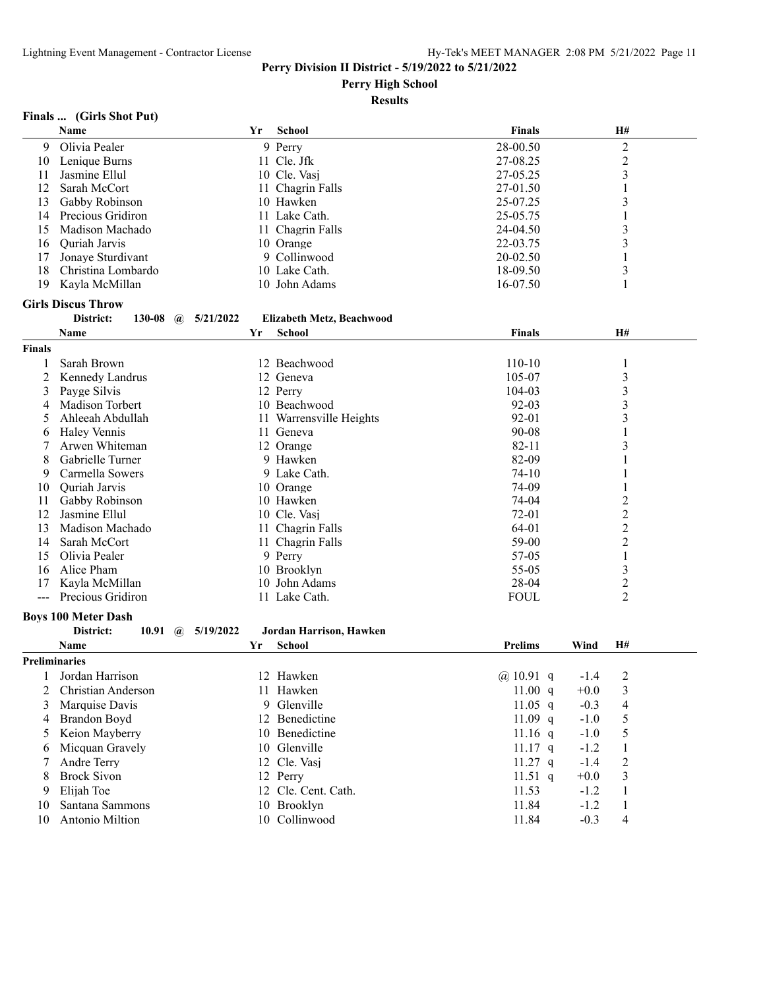**Perry High School**

#### **Results**

## **Finals ... (Girls Shot Put)**

|                      | Name                         |           | Yr | School                    | <b>Finals</b>  |        | H#                      |  |
|----------------------|------------------------------|-----------|----|---------------------------|----------------|--------|-------------------------|--|
| 9                    | Olivia Pealer                |           |    | 9 Perry                   | 28-00.50       |        | $\overline{c}$          |  |
| 10                   | Lenique Burns                |           |    | 11 Cle. Jfk               | 27-08.25       |        | $\overline{c}$          |  |
| 11                   | Jasmine Ellul                |           |    | 10 Cle. Vasj              | 27-05.25       |        | 3                       |  |
| 12                   | Sarah McCort                 |           |    | 11 Chagrin Falls          | 27-01.50       |        | 1                       |  |
| 13                   | Gabby Robinson               |           |    | 10 Hawken                 | 25-07.25       |        | 3                       |  |
| 14                   | Precious Gridiron            |           |    | 11 Lake Cath.             | 25-05.75       |        | $\mathbf{1}$            |  |
| 15                   | Madison Machado              |           |    | 11 Chagrin Falls          | 24-04.50       |        | 3                       |  |
| 16                   | Quriah Jarvis                |           |    | 10 Orange                 | 22-03.75       |        | 3                       |  |
| 17                   | Jonaye Sturdivant            |           |    | 9 Collinwood              | 20-02.50       |        |                         |  |
| 18                   | Christina Lombardo           |           |    | 10 Lake Cath.             | 18-09.50       |        | 3                       |  |
| 19                   | Kayla McMillan               |           |    | 10 John Adams             | 16-07.50       |        | 1                       |  |
|                      | <b>Girls Discus Throw</b>    |           |    |                           |                |        |                         |  |
|                      | District:<br>130-08 $\omega$ | 5/21/2022 |    | Elizabeth Metz, Beachwood |                |        |                         |  |
|                      | Name                         |           | Yr | <b>School</b>             | <b>Finals</b>  |        | H#                      |  |
|                      |                              |           |    |                           |                |        |                         |  |
| Finals               |                              |           |    |                           |                |        |                         |  |
| 1                    | Sarah Brown                  |           |    | 12 Beachwood              | $110 - 10$     |        | 1                       |  |
| 2                    | Kennedy Landrus              |           |    | 12 Geneva                 | 105-07         |        | 3                       |  |
| 3                    | Payge Silvis                 |           |    | 12 Perry                  | 104-03         |        | 3                       |  |
| 4                    | Madison Torbert              |           |    | 10 Beachwood              | $92 - 03$      |        | 3                       |  |
| 5                    | Ahleeah Abdullah             |           |    | 11 Warrensville Heights   | 92-01          |        | 3                       |  |
| 6                    | Haley Vennis                 |           |    | 11 Geneva                 | 90-08          |        | 1                       |  |
| 7                    | Arwen Whiteman               |           |    | 12 Orange                 | $82 - 11$      |        | 3                       |  |
| 8                    | Gabrielle Turner             |           |    | 9 Hawken                  | 82-09          |        |                         |  |
| 9                    | Carmella Sowers              |           |    | 9 Lake Cath.              | $74-10$        |        |                         |  |
| 10                   | <b>Ouriah Jarvis</b>         |           |    | 10 Orange                 | 74-09          |        | 1                       |  |
| 11                   | Gabby Robinson               |           |    | 10 Hawken                 | 74-04          |        | $\overline{c}$          |  |
| 12                   | Jasmine Ellul                |           |    | 10 Cle. Vasj              | 72-01          |        | $\overline{\mathbf{c}}$ |  |
| 13                   | Madison Machado              |           |    | 11 Chagrin Falls          | 64-01          |        | $\overline{c}$          |  |
| 14                   | Sarah McCort                 |           |    | 11 Chagrin Falls          | 59-00          |        | $\overline{2}$          |  |
| 15                   | Olivia Pealer                |           |    | 9 Perry                   | 57-05          |        | 1                       |  |
| 16                   | Alice Pham                   |           |    | 10 Brooklyn               | 55-05          |        | 3                       |  |
| 17                   | Kayla McMillan               |           |    | 10 John Adams             | 28-04          |        | $\overline{c}$          |  |
| $\overline{a}$       | Precious Gridiron            |           |    | 11 Lake Cath.             | <b>FOUL</b>    |        | $\overline{2}$          |  |
|                      | <b>Boys 100 Meter Dash</b>   |           |    |                           |                |        |                         |  |
|                      | District:<br>10.91 $\omega$  | 5/19/2022 |    | Jordan Harrison, Hawken   |                |        |                         |  |
|                      | Name                         |           | Yr | <b>School</b>             | <b>Prelims</b> | Wind   | Н#                      |  |
| <b>Preliminaries</b> |                              |           |    |                           |                |        |                         |  |
|                      | Jordan Harrison              |           |    | 12 Hawken                 | @ 10.91 q      | $-1.4$ | 2                       |  |
| 2                    | Christian Anderson           |           |    | 11 Hawken                 | 11.00 $q$      | $+0.0$ | 3                       |  |
| 3                    | Marquise Davis               |           | 9  | Glenville                 | $11.05$ q      | $-0.3$ | 4                       |  |
| 4                    | Brandon Boyd                 |           |    | 12 Benedictine            | 11.09 $q$      | $-1.0$ | 5                       |  |
| 5                    | Keion Mayberry               |           |    | 10 Benedictine            | 11.16 $q$      | $-1.0$ | 5                       |  |
| 6                    | Micquan Gravely              |           |    | 10 Glenville              | $11.17$ q      | $-1.2$ | $\mathbf{1}$            |  |
| 7                    | Andre Terry                  |           |    | 12 Cle. Vasj              | $11.27$ q      | $-1.4$ | $\sqrt{2}$              |  |
| 8                    | <b>Brock Sivon</b>           |           |    | 12 Perry                  | 11.51 $q$      | $+0.0$ | 3                       |  |
|                      |                              |           |    |                           |                |        |                         |  |
| 9                    | Elijah Toe                   |           |    | 12 Cle. Cent. Cath.       | 11.53          | $-1.2$ | $\mathbf{1}$            |  |
| 10                   | Santana Sammons              |           |    | 10 Brooklyn               | 11.84          | $-1.2$ | $\mathbf{1}$            |  |
| 10                   | Antonio Miltion              |           |    | 10 Collinwood             | 11.84          | $-0.3$ | $\overline{4}$          |  |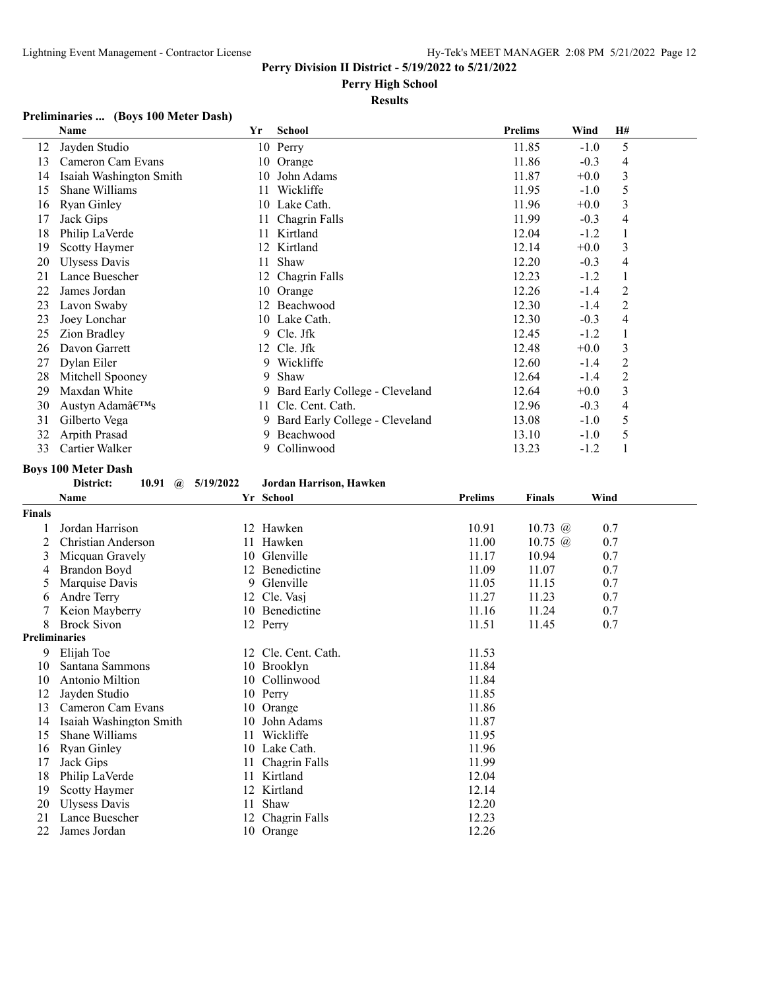## **Perry High School**

## **Results**

## **Preliminaries ... (Boys 100 Meter Dash)**

|    | Name                    | Yr | <b>School</b>                  | <b>Prelims</b> | Wind   | H# |  |
|----|-------------------------|----|--------------------------------|----------------|--------|----|--|
| 12 | Jayden Studio           |    | 10 Perry                       | 11.85          | $-1.0$ | 5  |  |
| 13 | Cameron Cam Evans       | 10 | Orange                         | 11.86          | $-0.3$ | 4  |  |
| 14 | Isaiah Washington Smith | 10 | John Adams                     | 11.87          | $+0.0$ | 3  |  |
| 15 | Shane Williams          | 11 | Wickliffe                      | 11.95          | $-1.0$ | 5  |  |
| 16 | Ryan Ginley             |    | 10 Lake Cath.                  | 11.96          | $+0.0$ | 3  |  |
| 17 | Jack Gips               | 11 | Chagrin Falls                  | 11.99          | $-0.3$ | 4  |  |
| 18 | Philip LaVerde          | 11 | Kirtland                       | 12.04          | $-1.2$ |    |  |
| 19 | <b>Scotty Haymer</b>    |    | 12 Kirtland                    | 12.14          | $+0.0$ | 3  |  |
| 20 | Ulysess Davis           | 11 | Shaw                           | 12.20          | $-0.3$ | 4  |  |
| 21 | Lance Buescher          | 12 | Chagrin Falls                  | 12.23          | $-1.2$ |    |  |
| 22 | James Jordan            | 10 | Orange                         | 12.26          | $-1.4$ | 2  |  |
| 23 | Lavon Swaby             | 12 | Beachwood                      | 12.30          | -1.4   | 2  |  |
| 23 | Joey Lonchar            |    | 10 Lake Cath.                  | 12.30          | $-0.3$ | 4  |  |
| 25 | Zion Bradley            | 9. | Cle. Jfk                       | 12.45          | $-1.2$ |    |  |
| 26 | Davon Garrett           | 12 | Cle. Jfk                       | 12.48          | $+0.0$ | 3  |  |
| 27 | Dylan Eiler             |    | 9 Wickliffe                    | 12.60          | -1.4   | 2  |  |
| 28 | Mitchell Spooney        | 9  | Shaw                           | 12.64          | -1.4   | 2  |  |
| 29 | Maxdan White            | 9. | Bard Early College - Cleveland | 12.64          | $+0.0$ | 3  |  |
| 30 | Austyn Adam's           | 11 | Cle. Cent. Cath.               | 12.96          | $-0.3$ | 4  |  |
| 31 | Gilberto Vega           | 9. | Bard Early College - Cleveland | 13.08          | $-1.0$ | 5  |  |
| 32 | Arpith Prasad           | 9. | Beachwood                      | 13.10          | $-1.0$ | 5  |  |
| 33 | Cartier Walker          | 9. | Collinwood                     | 13.23          | $-1.2$ |    |  |

# **Boys 100 Meter Dash**

## **District: 10.91 @ 5/19/2022 Jordan Harrison, Hawken**

|                      | <b>Name</b>             |    | Yr School           | <b>Prelims</b> | <b>Finals</b>  | Wind |
|----------------------|-------------------------|----|---------------------|----------------|----------------|------|
| <b>Finals</b>        |                         |    |                     |                |                |      |
|                      | Jordan Harrison         |    | 12 Hawken           | 10.91          | 10.73 $@$      | 0.7  |
| 2                    | Christian Anderson      |    | 11 Hawken           | 11.00          | 10.75 $\omega$ | 0.7  |
| 3                    | Micquan Gravely         | 10 | Glenville           | 11.17          | 10.94          | 0.7  |
| 4                    | Brandon Boyd            |    | 12 Benedictine      | 11.09          | 11.07          | 0.7  |
| 5                    | Marquise Davis          | 9. | Glenville           | 11.05          | 11.15          | 0.7  |
| 6                    | Andre Terry             | 12 | Cle. Vasi           | 11.27          | 11.23          | 0.7  |
|                      | Keion Mayberry          | 10 | Benedictine         | 11.16          | 11.24          | 0.7  |
| 8                    | <b>Brock Sivon</b>      |    | 12 Perry            | 11.51          | 11.45          | 0.7  |
| <b>Preliminaries</b> |                         |    |                     |                |                |      |
| 9                    | Elijah Toe              |    | 12 Cle. Cent. Cath. | 11.53          |                |      |
| 10                   | Santana Sammons         |    | 10 Brooklyn         | 11.84          |                |      |
| 10                   | Antonio Miltion         | 10 | Collinwood          | 11.84          |                |      |
| 12                   | Jayden Studio           |    | 10 Perry            | 11.85          |                |      |
| 13                   | Cameron Cam Evans       | 10 | Orange              | 11.86          |                |      |
| 14                   | Isaiah Washington Smith |    | 10 John Adams       | 11.87          |                |      |
| 15                   | Shane Williams          | 11 | Wickliffe           | 11.95          |                |      |
| 16                   | <b>Ryan Ginley</b>      |    | 10 Lake Cath.       | 11.96          |                |      |
| 17                   | Jack Gips               |    | Chagrin Falls       | 11.99          |                |      |
| 18                   | Philip LaVerde          | 11 | Kirtland            | 12.04          |                |      |
| 19                   | <b>Scotty Haymer</b>    | 12 | Kirtland            | 12.14          |                |      |
| 20                   | Ulysess Davis           | 11 | Shaw                | 12.20          |                |      |
| 21                   | Lance Buescher          | 12 | Chagrin Falls       | 12.23          |                |      |
| 22                   | James Jordan            |    | 10 Orange           | 12.26          |                |      |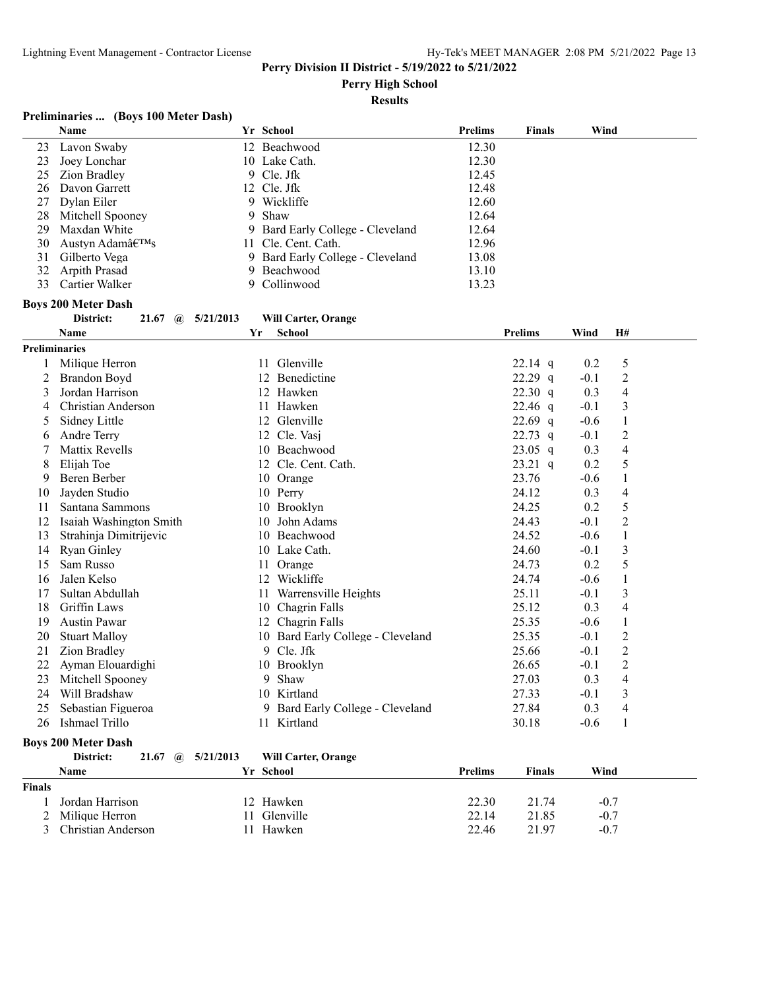**Perry High School**

**Results**

## **Preliminaries ... (Boys 100 Meter Dash)**

|    | <b>Name</b>                                     |    | Yr School                        | <b>Prelims</b> | <b>Finals</b>  | Wind     |                |  |
|----|-------------------------------------------------|----|----------------------------------|----------------|----------------|----------|----------------|--|
| 23 | Lavon Swaby                                     |    | 12 Beachwood                     | 12.30          |                |          |                |  |
| 23 | Joey Lonchar                                    |    | 10 Lake Cath.                    | 12.30          |                |          |                |  |
| 25 | Zion Bradley                                    | 9  | Cle. Jfk                         | 12.45          |                |          |                |  |
| 26 | Davon Garrett                                   | 12 | Cle. Jfk                         | 12.48          |                |          |                |  |
| 27 | Dylan Eiler                                     |    | 9 Wickliffe                      | 12.60          |                |          |                |  |
| 28 | Mitchell Spooney                                | 9  | Shaw                             | 12.64          |                |          |                |  |
| 29 | Maxdan White                                    | 9. | Bard Early College - Cleveland   | 12.64          |                |          |                |  |
| 30 | Austyn Adam's                                   | 11 | Cle. Cent. Cath.                 | 12.96          |                |          |                |  |
| 31 | Gilberto Vega                                   |    | 9 Bard Early College - Cleveland | 13.08          |                |          |                |  |
| 32 | Arpith Prasad                                   | 9. | Beachwood                        | 13.10          |                |          |                |  |
| 33 | Cartier Walker                                  | 9. | Collinwood                       | 13.23          |                |          |                |  |
|    | <b>Boys 200 Meter Dash</b>                      |    |                                  |                |                |          |                |  |
|    | District:<br>21.67<br>5/21/2013<br>$\mathbf{a}$ |    | <b>Will Carter, Orange</b>       |                |                |          |                |  |
|    | <b>Name</b>                                     | Yr | <b>School</b>                    |                | <b>Prelims</b> | Wind     | H#             |  |
|    | <b>Preliminaries</b>                            |    |                                  |                |                |          |                |  |
|    | Milique Herron                                  |    | Glenville<br>11                  |                | $22.14$ q      | 0.2      | 5              |  |
| 2  | Brandon Boyd                                    |    | Benedictine<br>12                |                | $22.29$ q      | $-0.1$   | 2              |  |
| 3  | Jordan Harrison                                 |    | 12 Hawken                        |                | 22.30 q        | 0.3      | 4              |  |
| 4  | Christian Anderson                              |    | Hawken<br>11                     |                | $22.46$ q      | $-0.1$   | 3              |  |
| 5  | Sidney Little                                   |    | Glenville<br>12                  |                | $22.69$ q      | $-0.6$   | 1              |  |
| 6  | Andre Terry                                     |    | Cle. Vasj<br>12                  |                | $22.73$ q      | $-0.1$   | $\overline{c}$ |  |
|    | <b>Mattix Revells</b>                           |    | Beachwood<br>10                  |                | $23.05$ q      | 0.3      | 4              |  |
| 8  | Elijah Toe                                      |    | Cle. Cent. Cath.<br>12           |                | $23.21$ q      | 0.2      | 5              |  |
| 9  | Beren Berber                                    |    | 10 Orange                        |                | 23.76          | $-0.6$   | 1              |  |
| 10 | Jayden Studio                                   |    | 10 Perry                         |                | 24.12          | 0.3      | 4              |  |
|    |                                                 |    | $10 \quad \text{D} \quad 11$     |                | 2425           | $\Omega$ |                |  |

| 9  | Beren Berber            | 10 | Orange                            | 23.76 | $-0.6$ |   |  |
|----|-------------------------|----|-----------------------------------|-------|--------|---|--|
| 10 | Jayden Studio           |    | 10 Perry                          | 24.12 | 0.3    | 4 |  |
|    | Santana Sammons         |    | 10 Brooklyn                       | 24.25 | 0.2    |   |  |
|    | Isaiah Washington Smith |    | 10 John Adams                     | 24.43 | $-0.1$ |   |  |
| 13 | Strahinia Dimitrijevic  | 10 | Beachwood                         | 24.52 | $-0.6$ |   |  |
| 14 | Ryan Ginley             | 10 | Lake Cath.                        | 24.60 | $-0.1$ | 3 |  |
| 15 | Sam Russo               | 11 | Orange                            | 24.73 | 0.2    | 5 |  |
| 16 | Jalen Kelso             | 12 | Wickliffe                         | 24.74 | $-0.6$ |   |  |
|    | Sultan Abdullah         | 11 | Warrensville Heights              | 25.11 | $-0.1$ | 3 |  |
| 18 | Griffin Laws            |    | 10 Chagrin Falls                  | 25.12 | 0.3    | 4 |  |
| 19 | <b>Austin Pawar</b>     |    | 12 Chagrin Falls                  | 25.35 | $-0.6$ |   |  |
| 20 | <b>Stuart Malloy</b>    |    | 10 Bard Early College - Cleveland | 25.35 | $-0.1$ | 2 |  |
|    | Zion Bradley            |    | 9 Cle. Jfk                        | 25.66 | $-0.1$ | 2 |  |
|    | Ayman Elouardighi       |    | 10 Brooklyn                       | 26.65 | $-0.1$ | 2 |  |
| 23 | Mitchell Spooney        | 9  | Shaw                              | 27.03 | 0.3    | 4 |  |
| 24 | Will Bradshaw           | 10 | Kirtland                          | 27.33 | $-0.1$ | 3 |  |
| 25 | Sebastian Figueroa      |    | 9 Bard Early College - Cleveland  | 27.84 | 0.3    | 4 |  |
| 26 | Ishmael Trillo          |    | Kirtland                          | 30.18 | $-0.6$ |   |  |

## **Boys 200 Meter Dash**

| District: |  | 21.67 (a) $5/21/2013$ | <b>Will Carter, Orange</b> |  |
|-----------|--|-----------------------|----------------------------|--|
|           |  |                       |                            |  |

|               | <b>Name</b>        | Yr School | Prelims | <b>Finals</b> | Wind   |
|---------------|--------------------|-----------|---------|---------------|--------|
| <b>Finals</b> |                    |           |         |               |        |
|               | Jordan Harrison    | 12 Hawken | 22.30   | 21.74         | $-0.7$ |
|               | 2 Milique Herron   | Glenville | 22.14   | 21.85         | $-0.7$ |
|               | Christian Anderson | Hawken    | 22.46   | 21.97         | $-0.7$ |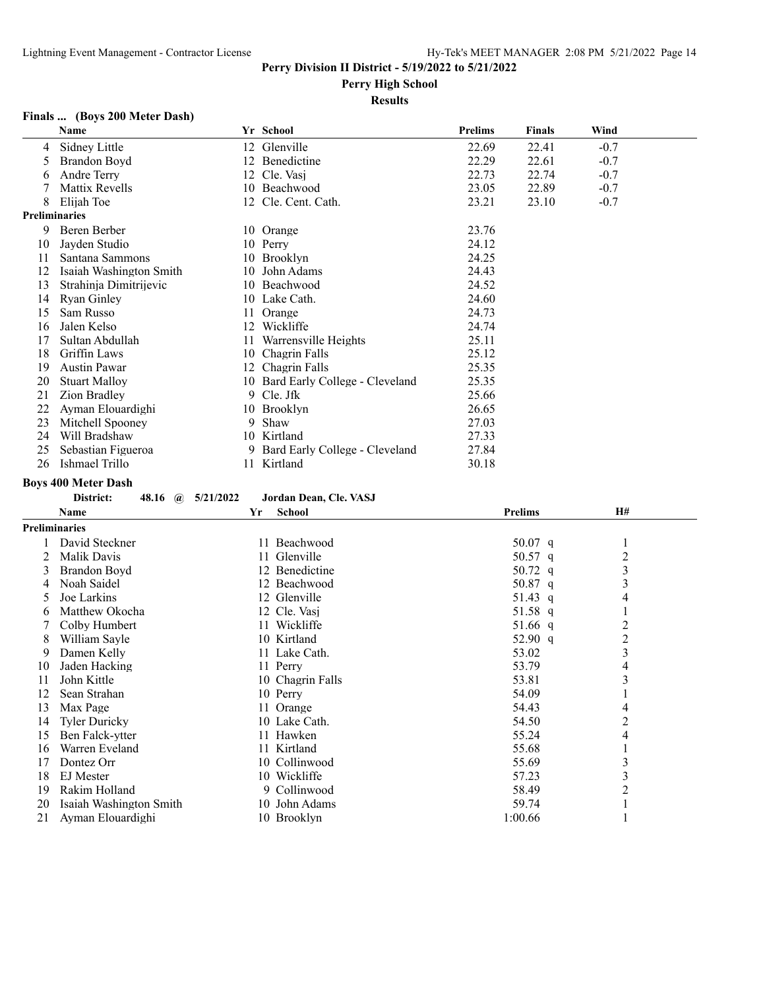**Perry High School**

## **Results**

## **Finals ... (Boys 200 Meter Dash)**

|    | Name                    |    | Yr School                      | Prelims | <b>Finals</b> | Wind   |  |
|----|-------------------------|----|--------------------------------|---------|---------------|--------|--|
| 4  | Sidney Little           | 12 | Glenville                      | 22.69   | 22.41         | $-0.7$ |  |
| 5  | Brandon Boyd            |    | 12 Benedictine                 | 22.29   | 22.61         | $-0.7$ |  |
| 6  | <b>Andre Terry</b>      | 12 | Cle. Vasi                      | 22.73   | 22.74         | $-0.7$ |  |
|    | Mattix Revells          |    | 10 Beachwood                   | 23.05   | 22.89         | $-0.7$ |  |
| 8  | Elijah Toe              | 12 | Cle. Cent. Cath.               | 23.21   | 23.10         | $-0.7$ |  |
|    | <b>Preliminaries</b>    |    |                                |         |               |        |  |
| 9  | Beren Berber            |    | 10 Orange                      | 23.76   |               |        |  |
| 10 | Jayden Studio           |    | 10 Perry                       | 24.12   |               |        |  |
| 11 | Santana Sammons         | 10 | Brooklyn                       | 24.25   |               |        |  |
| 12 | Isaiah Washington Smith | 10 | John Adams                     | 24.43   |               |        |  |
| 13 | Strahinja Dimitrijevic  |    | 10 Beachwood                   | 24.52   |               |        |  |
| 14 | <b>Ryan Ginley</b>      |    | 10 Lake Cath.                  | 24.60   |               |        |  |
| 15 | Sam Russo               |    | Orange                         | 24.73   |               |        |  |
| 16 | Jalen Kelso             | 12 | Wickliffe                      | 24.74   |               |        |  |
| 17 | Sultan Abdullah         | 11 | Warrensville Heights           | 25.11   |               |        |  |
| 18 | Griffin Laws            | 10 | Chagrin Falls                  | 25.12   |               |        |  |
| 19 | <b>Austin Pawar</b>     | 12 | Chagrin Falls                  | 25.35   |               |        |  |
| 20 | <b>Stuart Malloy</b>    | 10 | Bard Early College - Cleveland | 25.35   |               |        |  |
| 21 | Zion Bradley            | 9  | Cle. Jfk                       | 25.66   |               |        |  |
| 22 | Ayman Elouardighi       | 10 | Brooklyn                       | 26.65   |               |        |  |
| 23 | Mitchell Spooney        | 9  | Shaw                           | 27.03   |               |        |  |
| 24 | Will Bradshaw           |    | 10 Kirtland                    | 27.33   |               |        |  |
| 25 | Sebastian Figueroa      | 9. | Bard Early College - Cleveland | 27.84   |               |        |  |
| 26 | Ishmael Trillo          | 11 | Kirtland                       | 30.18   |               |        |  |

**Boys 400 Meter Dash**

#### **District: 48.16 @ 5/21/2022 Jordan Dean, Cle. VASJ**

|    | Name                    | Yr | <b>School</b>    | <b>Prelims</b> | <b>H#</b>      |  |
|----|-------------------------|----|------------------|----------------|----------------|--|
|    | <b>Preliminaries</b>    |    |                  |                |                |  |
|    | David Steckner          |    | 11 Beachwood     | 50.07 $q$      |                |  |
|    | Malik Davis             |    | 11 Glenville     | 50.57 q        | $\overline{2}$ |  |
| 3  | Brandon Boyd            |    | 12 Benedictine   | 50.72 q        | 3              |  |
| 4  | Noah Saidel             |    | 12 Beachwood     | 50.87 q        | 3              |  |
|    | Joe Larkins             |    | 12 Glenville     | 51.43 q        | 4              |  |
| b  | Matthew Okocha          |    | 12 Cle. Vasi     | 51.58 q        |                |  |
|    | Colby Humbert           |    | 11 Wickliffe     | 51.66 q        | 2              |  |
| 8  | William Sayle           |    | 10 Kirtland      | 52.90 q        | $\overline{2}$ |  |
| 9  | Damen Kelly             |    | 11 Lake Cath.    | 53.02          | 3              |  |
| 10 | Jaden Hacking           |    | 11 Perry         | 53.79          | 4              |  |
| 11 | John Kittle             |    | 10 Chagrin Falls | 53.81          | 3              |  |
| 12 | Sean Strahan            |    | 10 Perry         | 54.09          |                |  |
| 13 | Max Page                |    | 11 Orange        | 54.43          | 4              |  |
| 14 | Tyler Duricky           |    | 10 Lake Cath.    | 54.50          | 2              |  |
| 15 | Ben Falck-ytter         |    | 11 Hawken        | 55.24          | 4              |  |
| 16 | Warren Eveland          |    | 11 Kirtland      | 55.68          |                |  |
| 17 | Dontez Orr              |    | 10 Collinwood    | 55.69          | 3              |  |
| 18 | EJ Mester               |    | 10 Wickliffe     | 57.23          | 3              |  |
| 19 | Rakim Holland           |    | 9 Collinwood     | 58.49          | 2              |  |
| 20 | Isaiah Washington Smith |    | 10 John Adams    | 59.74          |                |  |
| 21 | Ayman Elouardighi       |    | 10 Brooklyn      | 1:00.66        |                |  |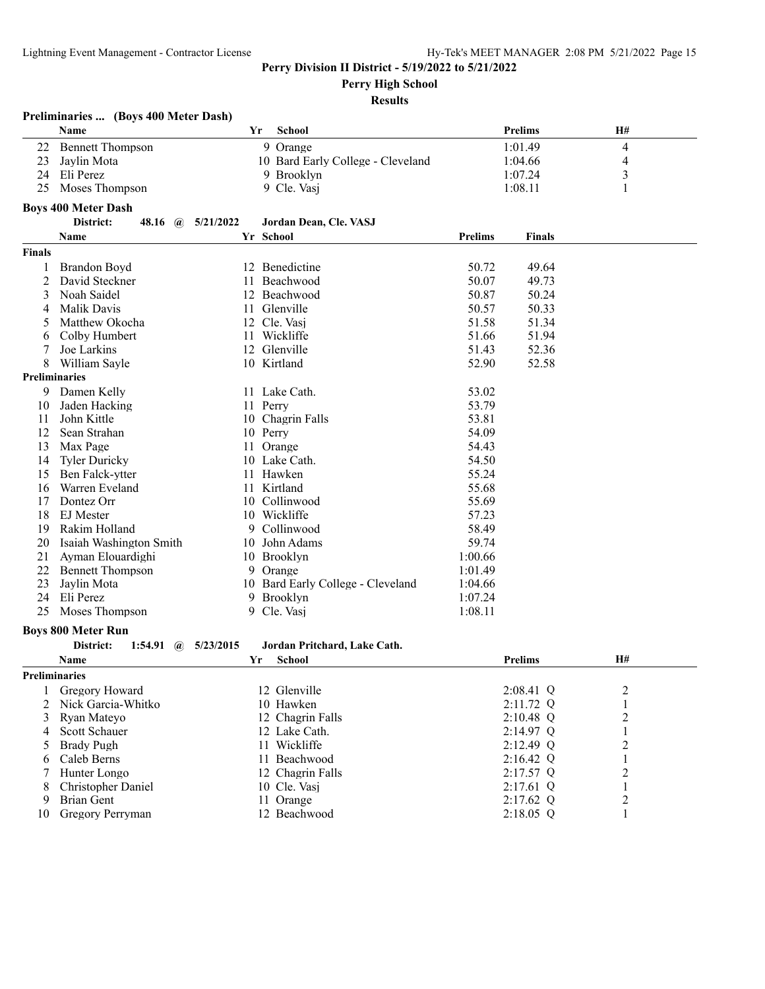**Perry High School**

|                      | Preliminaries  (Boys 400 Meter Dash)     |     |                                   |                |                |                  |  |
|----------------------|------------------------------------------|-----|-----------------------------------|----------------|----------------|------------------|--|
|                      | Name                                     | Yr  | School                            |                | <b>Prelims</b> | H#               |  |
| 22                   | <b>Bennett Thompson</b>                  |     | 9 Orange                          |                | 1:01.49        | $\overline{4}$   |  |
| 23                   | Jaylin Mota                              |     | 10 Bard Early College - Cleveland |                | 1:04.66        | 4                |  |
| 24                   | Eli Perez                                |     | 9 Brooklyn                        |                | 1:07.24        | 3                |  |
| 25                   | Moses Thompson                           |     | 9 Cle. Vasj                       |                | 1:08.11        | 1                |  |
|                      | <b>Boys 400 Meter Dash</b>               |     |                                   |                |                |                  |  |
|                      | District:<br>48.16 $\omega$<br>5/21/2022 |     | Jordan Dean, Cle. VASJ            |                |                |                  |  |
|                      | Name                                     |     | Yr School                         | <b>Prelims</b> | <b>Finals</b>  |                  |  |
| <b>Finals</b>        |                                          |     |                                   |                |                |                  |  |
|                      |                                          |     | 12 Benedictine                    | 50.72          | 49.64          |                  |  |
| 1<br>2               | Brandon Boyd<br>David Steckner           | 11  | Beachwood                         | 50.07          | 49.73          |                  |  |
| 3                    | Noah Saidel                              | 12  | Beachwood                         | 50.87          | 50.24          |                  |  |
| 4                    | <b>Malik Davis</b>                       | 11  | Glenville                         | 50.57          | 50.33          |                  |  |
| 5                    | Matthew Okocha                           |     | 12 Cle. Vasj                      | 51.58          | 51.34          |                  |  |
|                      |                                          | 11  | Wickliffe                         | 51.66          | 51.94          |                  |  |
| 6                    | Colby Humbert<br>Joe Larkins             |     | 12 Glenville                      |                |                |                  |  |
| 7<br>8               |                                          |     |                                   | 51.43          | 52.36          |                  |  |
| <b>Preliminaries</b> | William Sayle                            |     | 10 Kirtland                       | 52.90          | 52.58          |                  |  |
| 9.                   | Damen Kelly                              |     | 11 Lake Cath.                     | 53.02          |                |                  |  |
| 10                   | Jaden Hacking                            |     | 11 Perry                          | 53.79          |                |                  |  |
| 11                   | John Kittle                              |     | 10 Chagrin Falls                  | 53.81          |                |                  |  |
| 12                   | Sean Strahan                             |     | 10 Perry                          | 54.09          |                |                  |  |
| 13                   | Max Page                                 | 11  | Orange                            | 54.43          |                |                  |  |
| 14                   | <b>Tyler Duricky</b>                     |     | 10 Lake Cath.                     | 54.50          |                |                  |  |
| 15                   | Ben Falck-ytter                          | 11- | Hawken                            | 55.24          |                |                  |  |
| 16                   | Warren Eveland                           | 11  | Kirtland                          | 55.68          |                |                  |  |
| 17                   | Dontez Orr                               | 10  | Collinwood                        | 55.69          |                |                  |  |
| 18                   | EJ Mester                                | 10  | Wickliffe                         | 57.23          |                |                  |  |
| 19                   | Rakim Holland                            | 9   | Collinwood                        | 58.49          |                |                  |  |
| 20                   | Isaiah Washington Smith                  |     | 10 John Adams                     | 59.74          |                |                  |  |
| 21                   | Ayman Elouardighi                        |     | 10 Brooklyn                       | 1:00.66        |                |                  |  |
| 22                   | <b>Bennett Thompson</b>                  |     | 9 Orange                          | 1:01.49        |                |                  |  |
| 23                   | Jaylin Mota                              |     | 10 Bard Early College - Cleveland | 1:04.66        |                |                  |  |
| 24                   | Eli Perez                                |     | 9 Brooklyn                        | 1:07.24        |                |                  |  |
| 25                   | Moses Thompson                           |     | 9 Cle. Vasj                       | 1:08.11        |                |                  |  |
|                      |                                          |     |                                   |                |                |                  |  |
|                      | <b>Boys 800 Meter Run</b>                |     |                                   |                |                |                  |  |
|                      | District:<br>5/23/2015<br>1:54.91<br>(a) |     | Jordan Pritchard, Lake Cath.      |                |                |                  |  |
|                      | Name                                     | Yr  | <b>School</b>                     |                | <b>Prelims</b> | <b>H#</b>        |  |
| <b>Preliminaries</b> |                                          |     |                                   |                |                |                  |  |
|                      | <b>Gregory Howard</b>                    |     | 12 Glenville                      |                | 2:08.41 Q      | $\overline{c}$   |  |
| 2                    | Nick Garcia-Whitko                       |     | 10 Hawken                         |                | 2:11.72 Q      | $\mathbf{1}$     |  |
| 3                    | Ryan Mateyo                              |     | 12 Chagrin Falls                  |                | $2:10.48$ Q    | $\boldsymbol{2}$ |  |
| 4                    | Scott Schauer                            |     | 12 Lake Cath.                     |                | $2:14.97$ Q    | 1                |  |
| 5                    | <b>Brady Pugh</b>                        |     | 11 Wickliffe                      |                | 2:12.49 Q      | 2                |  |
| 6                    | Caleb Berns                              |     | 11 Beachwood                      |                | $2:16.42$ Q    | 1                |  |
| 7                    | Hunter Longo                             |     | 12 Chagrin Falls                  |                | 2:17.57 Q      | $\overline{c}$   |  |
| 8                    | Christopher Daniel                       |     | 10 Cle. Vasj                      |                | 2:17.61 Q      | $\,1\,$          |  |
| 9                    | <b>Brian Gent</b>                        |     | 11 Orange                         |                | 2:17.62 Q      | $\overline{c}$   |  |
| 10                   | Gregory Perryman                         |     | 12 Beachwood                      |                | $2:18.05$ Q    | 1                |  |
|                      |                                          |     |                                   |                |                |                  |  |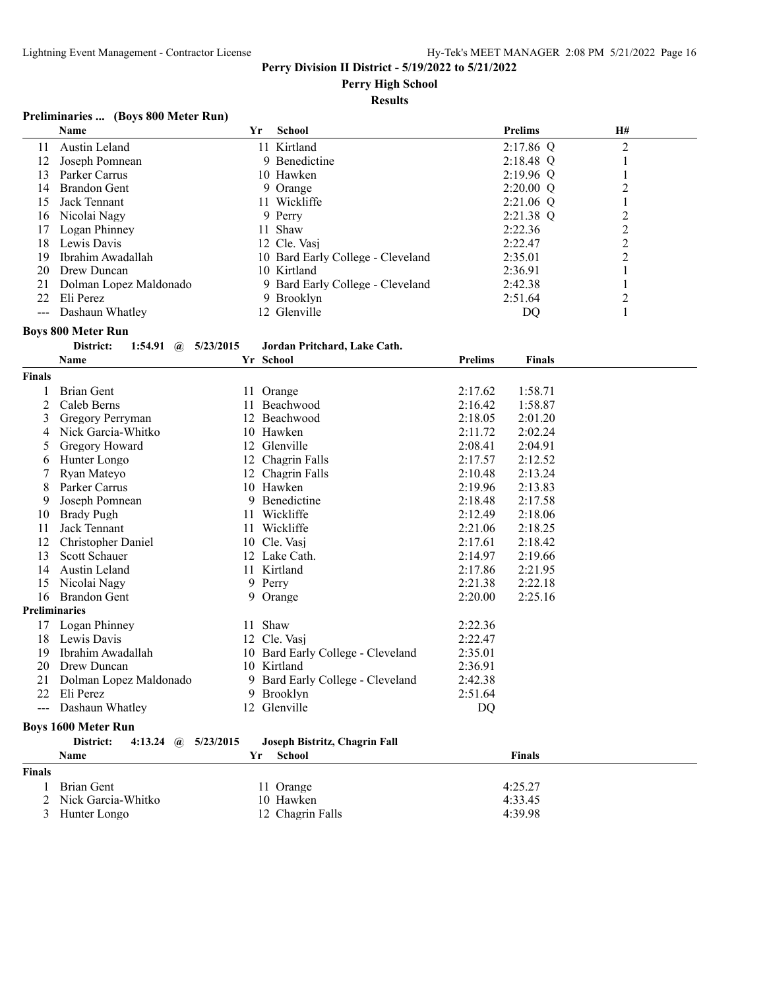**Perry High School**

## **Results**

## **Preliminaries ... (Boys 800 Meter Run)**

|    | Name                   | Yr | <b>School</b>                     | <b>Prelims</b> | <b>H#</b> |  |
|----|------------------------|----|-----------------------------------|----------------|-----------|--|
| 11 | Austin Leland          |    | 11 Kirtland                       | $2:17.86$ Q    | 2         |  |
| 12 | Joseph Pomnean         |    | 9 Benedictine                     | $2:18.48$ Q    |           |  |
| 13 | Parker Carrus          |    | 10 Hawken                         | $2:19.96$ Q    |           |  |
| 14 | <b>Brandon Gent</b>    |    | 9 Orange                          | $2:20.00$ Q    |           |  |
| 15 | Jack Tennant           |    | 11 Wickliffe                      | $2:21.06$ Q    |           |  |
| 16 | Nicolai Nagy           |    | 9 Perry                           | $2:21.38$ Q    |           |  |
| 17 | Logan Phinney          |    | 11 Shaw                           | 2:22.36        |           |  |
| 18 | Lewis Davis            |    | 12 Cle. Vasj                      | 2:22.47        |           |  |
| 19 | Ibrahim Awadallah      |    | 10 Bard Early College - Cleveland | 2:35.01        |           |  |
| 20 | Drew Duncan            |    | 10 Kirtland                       | 2:36.91        |           |  |
| 21 | Dolman Lopez Maldonado |    | 9 Bard Early College - Cleveland  | 2:42.38        |           |  |
| 22 | Eli Perez              |    | 9 Brooklyn                        | 2:51.64        |           |  |
|    | Dashaun Whatlev        |    | 12 Glenville                      | DO             |           |  |

## **Boys 800 Meter Run**

| District: |  |  | 1:54.91 (a) $5/23/2015$ | Jordan Pritchard, Lake Cath. |
|-----------|--|--|-------------------------|------------------------------|
|-----------|--|--|-------------------------|------------------------------|

|               | <b>Name</b>                                       |    | Yr School                         | <b>Prelims</b> | <b>Finals</b> |  |
|---------------|---------------------------------------------------|----|-----------------------------------|----------------|---------------|--|
| <b>Finals</b> |                                                   |    |                                   |                |               |  |
|               | Brian Gent                                        |    | 11 Orange                         | 2:17.62        | 1:58.71       |  |
| 2             | Caleb Berns                                       | 11 | Beachwood                         | 2:16.42        | 1:58.87       |  |
| 3             | Gregory Perryman                                  | 12 | Beachwood                         | 2:18.05        | 2:01.20       |  |
| 4             | Nick Garcia-Whitko                                |    | 10 Hawken                         | 2:11.72        | 2:02.24       |  |
| 5             | Gregory Howard                                    | 12 | Glenville                         | 2:08.41        | 2:04.91       |  |
| 6             | Hunter Longo                                      | 12 | Chagrin Falls                     | 2:17.57        | 2:12.52       |  |
| 7             | Ryan Mateyo                                       | 12 | Chagrin Falls                     | 2:10.48        | 2:13.24       |  |
| 8             | Parker Carrus                                     |    | 10 Hawken                         | 2:19.96        | 2:13.83       |  |
| 9             | Joseph Pomnean                                    | 9  | Benedictine                       | 2:18.48        | 2:17.58       |  |
| 10            | <b>Brady Pugh</b>                                 | 11 | Wickliffe                         | 2:12.49        | 2:18.06       |  |
| 11            | Jack Tennant                                      | 11 | Wickliffe                         | 2:21.06        | 2:18.25       |  |
| 12            | Christopher Daniel                                |    | 10 Cle. Vasj                      | 2:17.61        | 2:18.42       |  |
| 13            | Scott Schauer                                     |    | 12 Lake Cath.                     | 2:14.97        | 2:19.66       |  |
| 14            | Austin Leland                                     |    | 11 Kirtland                       | 2:17.86        | 2:21.95       |  |
| 15            | Nicolai Nagy                                      | 9  | Perry                             | 2:21.38        | 2:22.18       |  |
| 16            | <b>Brandon Gent</b>                               | 9  | Orange                            | 2:20.00        | 2:25.16       |  |
|               | <b>Preliminaries</b>                              |    |                                   |                |               |  |
| 17            | Logan Phinney                                     | 11 | Shaw                              | 2:22.36        |               |  |
| 18            | Lewis Davis                                       | 12 | Cle. Vasi                         | 2:22.47        |               |  |
| 19            | Ibrahim Awadallah                                 |    | 10 Bard Early College - Cleveland | 2:35.01        |               |  |
| 20            | Drew Duncan                                       |    | 10 Kirtland                       | 2:36.91        |               |  |
| 21            | Dolman Lopez Maldonado                            | 9  | Bard Early College - Cleveland    | 2:42.38        |               |  |
| 22            | Eli Perez                                         | 9  | <b>Brooklyn</b>                   | 2:51.64        |               |  |
| $---$         | Dashaun Whatley                                   |    | 12 Glenville                      | DQ             |               |  |
|               | <b>Boys 1600 Meter Run</b>                        |    |                                   |                |               |  |
|               | District:<br>5/23/2015<br>4:13.24<br>$\mathbf{a}$ |    | Joseph Bistritz, Chagrin Fall     |                |               |  |
|               | Name                                              | Yr | <b>School</b>                     |                | <b>Finals</b> |  |
|               |                                                   |    |                                   |                |               |  |
| <b>Finals</b> |                                                   |    |                                   |                |               |  |
|               | <b>Brian Gent</b>                                 |    | 11 Orange                         |                | 4:25.27       |  |
| 2             | Nick Garcia-Whitko                                |    | 10 Hawken                         |                | 4:33.45       |  |

Hunter Longo 12 Chagrin Falls 4:39.98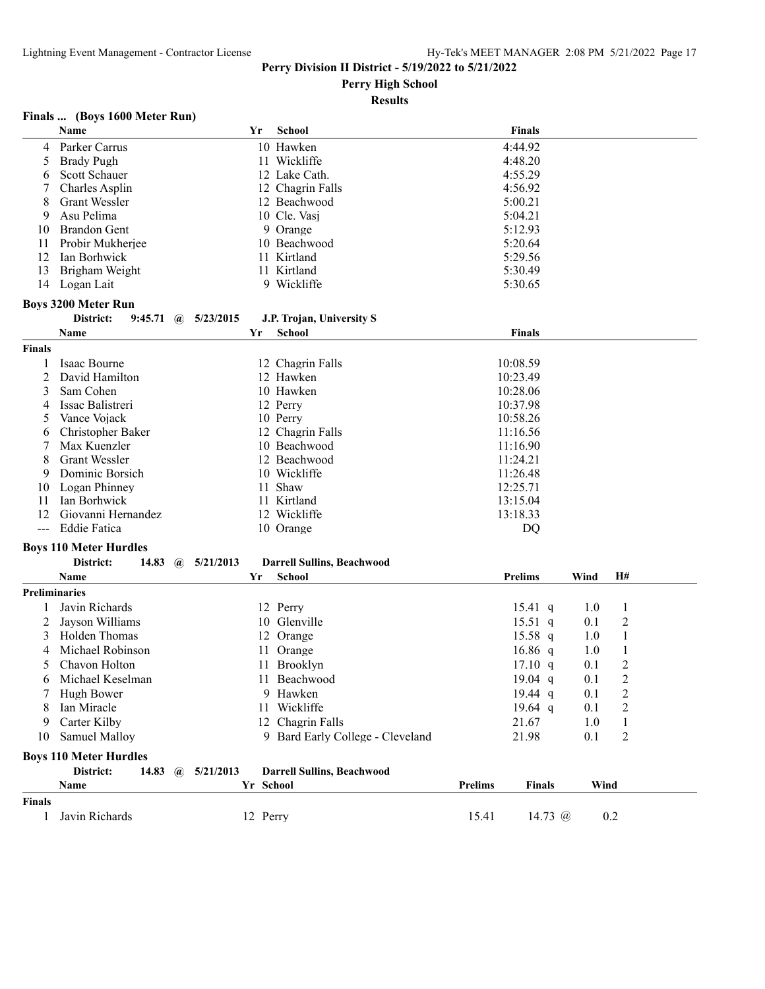**Perry High School**

## **Results**

## **Finals ... (Boys 1600 Meter Run)**

|                      | Name                          |                        |              |           | Yr        | School                            |                | <b>Finals</b>     |      |                |  |
|----------------------|-------------------------------|------------------------|--------------|-----------|-----------|-----------------------------------|----------------|-------------------|------|----------------|--|
| 4                    | Parker Carrus                 |                        |              |           |           | 10 Hawken                         |                | 4:44.92           |      |                |  |
| 5                    | <b>Brady Pugh</b>             |                        |              |           |           | 11 Wickliffe                      |                | 4:48.20           |      |                |  |
| 6                    | Scott Schauer                 |                        |              |           |           | 12 Lake Cath.                     |                | 4:55.29           |      |                |  |
| 7                    | Charles Asplin                |                        |              |           |           | 12 Chagrin Falls                  |                | 4:56.92           |      |                |  |
| 8                    | Grant Wessler                 |                        |              |           |           | 12 Beachwood                      |                | 5:00.21           |      |                |  |
| 9                    | Asu Pelima                    |                        |              |           |           | 10 Cle. Vasj                      |                | 5:04.21           |      |                |  |
| 10                   | <b>Brandon Gent</b>           |                        |              |           |           | 9 Orange                          |                | 5:12.93           |      |                |  |
| 11                   | Probir Mukherjee              |                        |              |           |           | 10 Beachwood                      |                | 5:20.64           |      |                |  |
| 12                   | Ian Borhwick                  |                        |              |           |           | 11 Kirtland                       |                | 5:29.56           |      |                |  |
| 13                   | Brigham Weight                |                        |              |           |           | 11 Kirtland                       |                | 5:30.49           |      |                |  |
| 14                   | Logan Lait                    |                        |              |           |           | 9 Wickliffe                       |                | 5:30.65           |      |                |  |
|                      | <b>Boys 3200 Meter Run</b>    |                        |              |           |           |                                   |                |                   |      |                |  |
|                      | District:                     | $9:45.71 \quad \omega$ |              | 5/23/2015 |           | J.P. Trojan, University S         |                |                   |      |                |  |
|                      | Name                          |                        |              |           | Yr        | <b>School</b>                     |                | <b>Finals</b>     |      |                |  |
| <b>Finals</b>        |                               |                        |              |           |           |                                   |                |                   |      |                |  |
|                      | Isaac Bourne                  |                        |              |           |           | 12 Chagrin Falls                  |                | 10:08.59          |      |                |  |
| 1<br>$\overline{c}$  | David Hamilton                |                        |              |           |           | 12 Hawken                         |                | 10:23.49          |      |                |  |
| 3                    | Sam Cohen                     |                        |              |           |           | 10 Hawken                         |                | 10:28.06          |      |                |  |
| 4                    | Issac Balistreri              |                        |              |           |           | 12 Perry                          |                | 10:37.98          |      |                |  |
| 5                    | Vance Vojack                  |                        |              |           |           | 10 Perry                          |                | 10:58.26          |      |                |  |
| 6                    | Christopher Baker             |                        |              |           |           | 12 Chagrin Falls                  |                | 11:16.56          |      |                |  |
| 7                    | Max Kuenzler                  |                        |              |           |           | 10 Beachwood                      |                | 11:16.90          |      |                |  |
| 8                    | <b>Grant Wessler</b>          |                        |              |           |           | 12 Beachwood                      |                | 11:24.21          |      |                |  |
| 9                    | Dominic Borsich               |                        |              |           |           | 10 Wickliffe                      |                | 11:26.48          |      |                |  |
| 10                   | Logan Phinney                 |                        |              |           |           | 11 Shaw                           |                | 12:25.71          |      |                |  |
| 11                   | Ian Borhwick                  |                        |              |           |           | 11 Kirtland                       |                | 13:15.04          |      |                |  |
| 12                   | Giovanni Hernandez            |                        |              |           |           | 12 Wickliffe                      |                | 13:18.33          |      |                |  |
| $---$                | Eddie Fatica                  |                        |              |           |           | 10 Orange                         |                | DQ                |      |                |  |
|                      |                               |                        |              |           |           |                                   |                |                   |      |                |  |
|                      | <b>Boys 110 Meter Hurdles</b> |                        |              |           |           |                                   |                |                   |      |                |  |
|                      | District:                     | 14.83                  | $\mathbf{a}$ | 5/21/2013 |           | <b>Darrell Sullins, Beachwood</b> |                |                   |      |                |  |
|                      | <b>Name</b>                   |                        |              |           | Yr        | <b>School</b>                     |                | <b>Prelims</b>    | Wind | H#             |  |
| <b>Preliminaries</b> |                               |                        |              |           |           |                                   |                |                   |      |                |  |
| 1                    | Javin Richards                |                        |              |           |           | 12 Perry                          |                | $15.41 \text{ q}$ | 1.0  | 1              |  |
| 2                    | Jayson Williams               |                        |              |           |           | 10 Glenville                      |                | $15.51$ q         | 0.1  | 2              |  |
| 3                    | Holden Thomas                 |                        |              |           |           | 12 Orange                         |                | $15.58$ q         | 1.0  | 1              |  |
| 4                    | Michael Robinson              |                        |              |           |           | 11 Orange                         |                | $16.86$ q         | 1.0  | 1              |  |
| 5                    | Chavon Holton                 |                        |              |           |           | 11 Brooklyn                       |                | 17.10 q           | 0.1  | 2              |  |
| 6                    | Michael Keselman              |                        |              |           |           | 11 Beachwood                      |                | 19.04 $q$         | 0.1  | $\overline{2}$ |  |
|                      | Hugh Bower                    |                        |              |           |           | 9 Hawken                          |                | 19.44 q           | 0.1  | 2              |  |
| 8                    | Ian Miracle                   |                        |              |           |           | 11 Wickliffe                      |                | 19.64 $q$         | 0.1  | $\overline{c}$ |  |
| 9                    | Carter Kilby                  |                        |              |           |           | 12 Chagrin Falls                  |                | 21.67             | 1.0  | $\mathbf{1}$   |  |
| 10                   | Samuel Malloy                 |                        |              |           |           | 9 Bard Early College - Cleveland  |                | 21.98             | 0.1  | 2              |  |
|                      | <b>Boys 110 Meter Hurdles</b> |                        |              |           |           |                                   |                |                   |      |                |  |
|                      | District:                     | 14.83 $\omega$         |              | 5/21/2013 |           | <b>Darrell Sullins, Beachwood</b> |                |                   |      |                |  |
|                      | Name                          |                        |              |           | Yr School |                                   | <b>Prelims</b> | <b>Finals</b>     | Wind |                |  |
| Finals               |                               |                        |              |           |           |                                   |                |                   |      |                |  |
| 1                    | Javin Richards                |                        |              |           | 12 Perry  |                                   | 15.41          | 14.73 @           |      | 0.2            |  |
|                      |                               |                        |              |           |           |                                   |                |                   |      |                |  |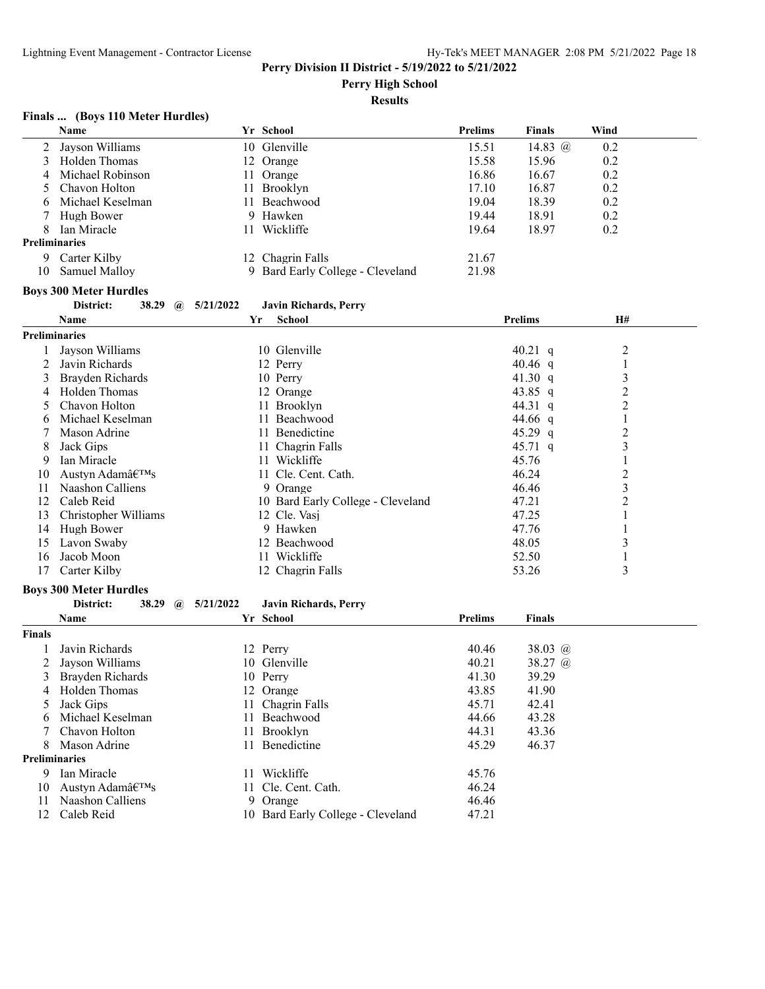**Perry High School**

## **Results**

## **Finals ... (Boys 110 Meter Hurdles)**

|                      | Name                               |           | Yr School                         | <b>Prelims</b> | <b>Finals</b>  | Wind           |  |
|----------------------|------------------------------------|-----------|-----------------------------------|----------------|----------------|----------------|--|
| 2                    | Jayson Williams                    |           | 10 Glenville                      | 15.51          | 14.83 @        | 0.2            |  |
| 3                    | Holden Thomas                      |           | 12 Orange                         | 15.58          | 15.96          | 0.2            |  |
| 4                    | Michael Robinson                   |           | 11 Orange                         | 16.86          | 16.67          | 0.2            |  |
| 5                    | Chavon Holton                      |           | 11 Brooklyn                       | 17.10          | 16.87          | 0.2            |  |
| 6                    | Michael Keselman                   |           | 11 Beachwood                      | 19.04          | 18.39          | 0.2            |  |
| 7                    | Hugh Bower                         |           | 9 Hawken                          | 19.44          | 18.91          | 0.2            |  |
| 8                    | Ian Miracle                        |           | 11 Wickliffe                      | 19.64          | 18.97          | 0.2            |  |
| <b>Preliminaries</b> |                                    |           |                                   |                |                |                |  |
|                      | 9 Carter Kilby                     |           | 12 Chagrin Falls                  | 21.67          |                |                |  |
| 10                   | Samuel Malloy                      |           | 9 Bard Early College - Cleveland  | 21.98          |                |                |  |
|                      |                                    |           |                                   |                |                |                |  |
|                      | <b>Boys 300 Meter Hurdles</b>      |           |                                   |                |                |                |  |
|                      | District:<br>38.29<br>$\mathbf{a}$ | 5/21/2022 | <b>Javin Richards, Perry</b>      |                |                |                |  |
|                      | <b>Name</b>                        | Yr        | <b>School</b>                     |                | <b>Prelims</b> | H#             |  |
| <b>Preliminaries</b> |                                    |           |                                   |                |                |                |  |
| 1                    | Jayson Williams                    |           | 10 Glenville                      |                | 40.21 $q$      | $\overline{c}$ |  |
| 2                    | Javin Richards                     |           | 12 Perry                          |                | 40.46 q        | $\mathbf{1}$   |  |
| 3                    | Brayden Richards                   |           | 10 Perry                          |                | 41.30 $q$      | $\mathfrak{Z}$ |  |
| 4                    | Holden Thomas                      |           | 12 Orange                         |                | 43.85 $q$      | $\overline{c}$ |  |
| 5                    | Chavon Holton                      |           | 11 Brooklyn                       |                | 44.31 q        | $\overline{c}$ |  |
| 6                    | Michael Keselman                   |           | 11 Beachwood                      |                | 44.66 q        | 1              |  |
| 7                    | Mason Adrine                       |           | 11 Benedictine                    |                | 45.29 $q$      | $\overline{c}$ |  |
| 8                    | Jack Gips                          |           | 11 Chagrin Falls                  |                | 45.71 $q$      | $\mathfrak{Z}$ |  |
| 9                    | Ian Miracle                        |           | 11 Wickliffe                      |                | 45.76          | $\mathbf{1}$   |  |
| 10                   | Austyn Adam's                      |           | 11 Cle. Cent. Cath.               |                | 46.24          | $\overline{c}$ |  |
| 11                   | Naashon Calliens                   |           | 9 Orange                          |                | 46.46          | 3              |  |
| 12                   | Caleb Reid                         |           | 10 Bard Early College - Cleveland |                | 47.21          | $\overline{2}$ |  |
| 13                   | Christopher Williams               |           | 12 Cle. Vasj                      |                | 47.25          | $\mathbf{1}$   |  |
| 14                   |                                    |           | 9 Hawken                          |                | 47.76          |                |  |
|                      | Hugh Bower                         |           |                                   |                |                | $\mathbf{1}$   |  |
| 15                   | Lavon Swaby                        |           | 12 Beachwood                      |                | 48.05          | 3              |  |
| 16                   | Jacob Moon                         |           | 11 Wickliffe                      |                | 52.50          | $\mathbf{1}$   |  |
| 17                   | Carter Kilby                       |           | 12 Chagrin Falls                  |                | 53.26          | 3              |  |
|                      | <b>Boys 300 Meter Hurdles</b>      |           |                                   |                |                |                |  |
|                      | District:<br>38.29<br>$\mathbf{a}$ | 5/21/2022 | <b>Javin Richards, Perry</b>      |                |                |                |  |
|                      | Name                               |           | Yr School                         | <b>Prelims</b> | <b>Finals</b>  |                |  |
| Finals               |                                    |           |                                   |                |                |                |  |
| 1                    | Javin Richards                     |           | 12 Perry                          | 40.46          | 38.03 @        |                |  |
| 2                    | Jayson Williams                    |           | 10 Glenville                      | 40.21          | 38.27 @        |                |  |
| 3                    | Brayden Richards                   |           | 10 Perry                          | 41.30          | 39.29          |                |  |
| 4                    | Holden Thomas                      |           | 12 Orange                         | 43.85          | 41.90          |                |  |
| 5                    | Jack Gips                          |           | 11 Chagrin Falls                  | 45.71          | 42.41          |                |  |
|                      | Michael Keselman                   |           | 11 Beachwood                      | 44.66          | 43.28          |                |  |
|                      | Chavon Holton                      |           | 11 Brooklyn                       | 44.31          | 43.36          |                |  |
| 8                    | Mason Adrine                       |           | 11 Benedictine                    | 45.29          | 46.37          |                |  |
| Preliminaries        |                                    |           |                                   |                |                |                |  |
| 9.                   | Ian Miracle                        |           | 11 Wickliffe                      | 45.76          |                |                |  |
|                      | Austyn Adam's                      |           | 11 Cle. Cent. Cath.               | 46.24          |                |                |  |
| 10                   | Naashon Calliens                   |           | 9 Orange                          | 46.46          |                |                |  |
| 11<br>12             | Caleb Reid                         |           | 10 Bard Early College - Cleveland | 47.21          |                |                |  |
|                      |                                    |           |                                   |                |                |                |  |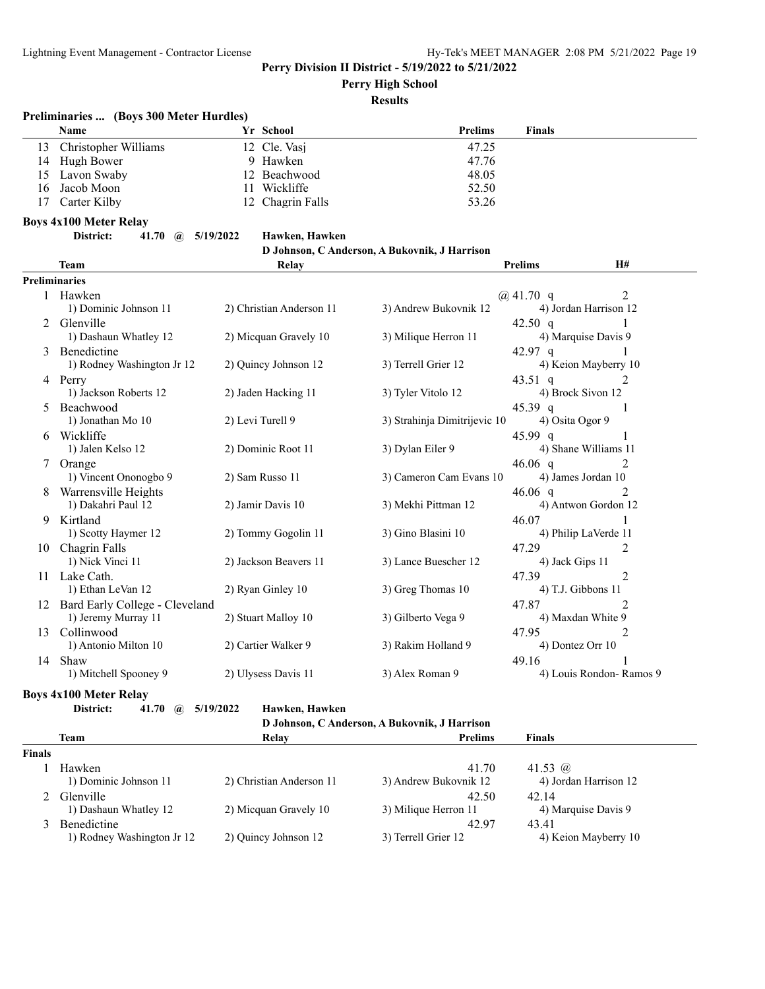**Perry High School**

#### **Results**

## **Preliminaries ... (Boys 300 Meter Hurdles)**

|    | Name                 | Yr School        | <b>Prelims</b> | Finals |
|----|----------------------|------------------|----------------|--------|
| 13 | Christopher Williams | 12 Cle. Vasi     | 47.25          |        |
|    | 14 Hugh Bower        | 9 Hawken         | 47.76          |        |
|    | 15 Lavon Swaby       | 12 Beachwood     | 48.05          |        |
|    | 16 Jacob Moon        | Wickliffe        | 52.50          |        |
| 17 | Carter Kilby         | 12 Chagrin Falls | 53.26          |        |

## **Boys 4x100 Meter Relay**

**District: 41.70 @ 5/19/2022 Hawken, Hawken**

#### **D Johnson, C Anderson, A Bukovnik, J Harrison**

|                | <b>Team</b>                                         | Relay                    |                              | <b>Prelims</b> | H#                                      |
|----------------|-----------------------------------------------------|--------------------------|------------------------------|----------------|-----------------------------------------|
| Preliminaries  |                                                     |                          |                              |                |                                         |
|                | Hawken<br>1) Dominic Johnson 11                     | 2) Christian Anderson 11 | 3) Andrew Bukovnik 12        | @ $41.70$ q    | $\overline{2}$<br>4) Jordan Harrison 12 |
| $\mathfrak{D}$ | Glenville<br>1) Dashaun Whatley 12                  | 2) Micquan Gravely 10    | 3) Milique Herron 11         | 42.50 $q$      | 4) Marquise Davis 9                     |
| 3              | Benedictine<br>1) Rodney Washington Jr 12           | 2) Quincy Johnson 12     | 3) Terrell Grier 12          | 42.97 $q$      | 4) Keion Mayberry 10                    |
| 4              | Perry                                               |                          |                              | 43.51 q        |                                         |
| 5              | 1) Jackson Roberts 12<br>Beachwood                  | 2) Jaden Hacking 11      | 3) Tyler Vitolo 12           | 45.39 q        | 4) Brock Sivon 12<br>-1                 |
| 6              | 1) Jonathan Mo 10<br>Wickliffe                      | 2) Levi Turell 9         | 3) Strahinja Dimitrijevic 10 | $45.99$ q      | 4) Osita Ogor 9                         |
|                | 1) Jalen Kelso 12                                   | 2) Dominic Root 11       | 3) Dylan Eiler 9             |                | 4) Shane Williams 11                    |
| 7              | Orange<br>1) Vincent Ononogbo 9                     | 2) Sam Russo 11          | 3) Cameron Cam Evans 10      | 46.06 q        | 2<br>4) James Jordan 10                 |
| 8              | Warrensville Heights<br>1) Dakahri Paul 12          | 2) Jamir Davis 10        | 3) Mekhi Pittman 12          | 46.06 $q$      | $\mathfrak{D}$<br>4) Antwon Gordon 12   |
| 9              | Kirtland<br>1) Scotty Haymer 12                     | 2) Tommy Gogolin 11      | 3) Gino Blasini 10           | 46.07          | 4) Philip LaVerde 11                    |
| 10             | Chagrin Falls                                       |                          | 3) Lance Buescher 12         | 47.29          | 2                                       |
| 11             | 1) Nick Vinci 11<br>Lake Cath.                      | 2) Jackson Beavers 11    |                              | 47.39          | 4) Jack Gips 11<br>$\overline{2}$       |
| 12             | 1) Ethan LeVan 12<br>Bard Early College - Cleveland | 2) Ryan Ginley 10        | 3) Greg Thomas 10            | 47.87          | 4) T.J. Gibbons 11<br>$\mathfrak{D}$    |
| 13             | 1) Jeremy Murray 11<br>Collinwood                   | 2) Stuart Malloy 10      | 3) Gilberto Vega 9           | 47.95          | 4) Maxdan White 9<br>2                  |
|                | 1) Antonio Milton 10                                | 2) Cartier Walker 9      | 3) Rakim Holland 9           |                | 4) Dontez Orr 10                        |
| 14             | Shaw<br>1) Mitchell Spooney 9                       | 2) Ulysess Davis 11      | 3) Alex Roman 9              | 49.16          | 4) Louis Rondon-Ramos 9                 |

**Boys 4x100 Meter Relay**

**District: 41.70 @ 5/19/2022 Hawken, Hawken**

|               | D Johnson, C Anderson, A Bukovnik, J Harrison |                          |                       |                       |  |  |  |  |  |
|---------------|-----------------------------------------------|--------------------------|-----------------------|-----------------------|--|--|--|--|--|
|               | <b>Team</b>                                   | Relay                    | <b>Prelims</b>        | <b>Finals</b>         |  |  |  |  |  |
| <b>Finals</b> |                                               |                          |                       |                       |  |  |  |  |  |
|               | Hawken                                        |                          | 41.70                 | 41.53 $\omega$        |  |  |  |  |  |
|               | 1) Dominic Johnson 11                         | 2) Christian Anderson 11 | 3) Andrew Bukovnik 12 | 4) Jordan Harrison 12 |  |  |  |  |  |
|               | Glenville                                     |                          | 42.50                 | 42.14                 |  |  |  |  |  |
|               | 1) Dashaun Whatley 12                         | 2) Micquan Gravely 10    | 3) Milique Herron 11  | 4) Marquise Davis 9   |  |  |  |  |  |
|               | Benedictine                                   |                          | 42.97                 | 43.41                 |  |  |  |  |  |
|               | 1) Rodney Washington Jr 12                    | 2) Ouincy Johnson 12     | 3) Terrell Grier 12   | 4) Keion Mayberry 10  |  |  |  |  |  |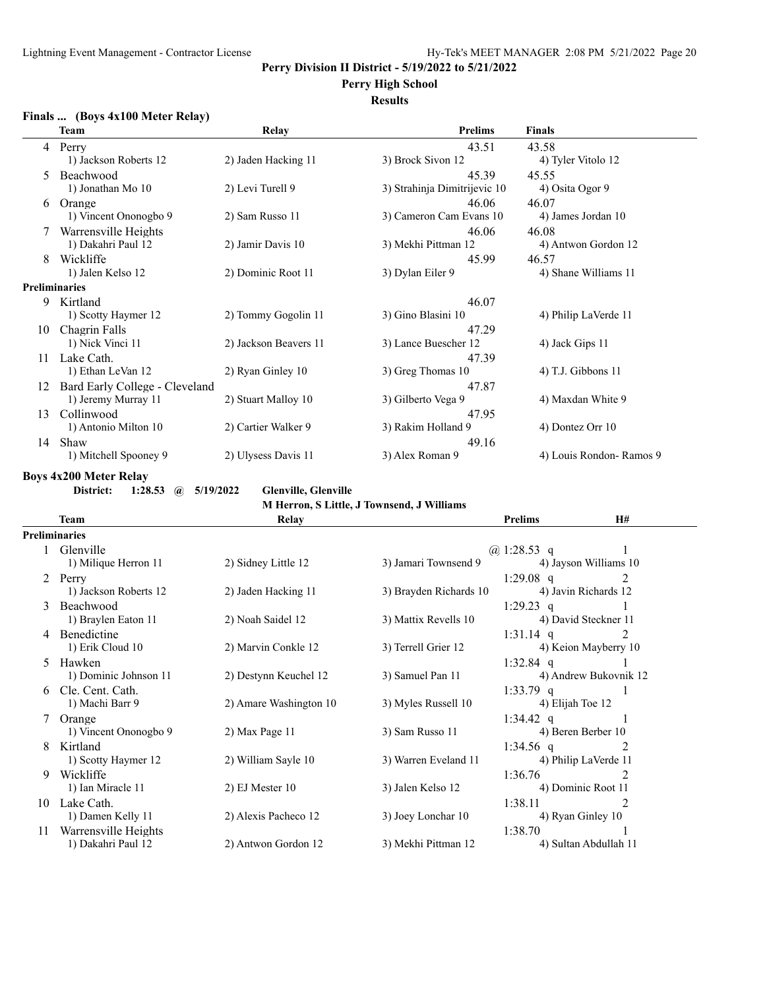**Perry High School**

## **Results**

## **Finals ... (Boys 4x100 Meter Relay)**

|    | <b>Team</b>                    | Relay                 | <b>Prelims</b>               | <b>Finals</b>           |
|----|--------------------------------|-----------------------|------------------------------|-------------------------|
| 4  | Perry                          |                       | 43.51                        | 43.58                   |
|    | 1) Jackson Roberts 12          | 2) Jaden Hacking 11   | 3) Brock Sivon 12            | 4) Tyler Vitolo 12      |
| 5  | Beachwood                      |                       | 45.39                        | 45.55                   |
|    | 1) Jonathan Mo 10              | 2) Levi Turell 9      | 3) Strahinja Dimitrijevic 10 | 4) Osita Ogor 9         |
| 6  | Orange                         |                       | 46.06                        | 46.07                   |
|    | 1) Vincent Ononogbo 9          | 2) Sam Russo 11       | 3) Cameron Cam Evans 10      | 4) James Jordan 10      |
|    | Warrensville Heights           |                       | 46.06                        | 46.08                   |
|    | 1) Dakahri Paul 12             | 2) Jamir Davis 10     | 3) Mekhi Pittman 12          | 4) Antwon Gordon 12     |
| 8  | Wickliffe                      |                       | 45.99                        | 46.57                   |
|    | 1) Jalen Kelso 12              | 2) Dominic Root 11    | 3) Dylan Eiler 9             | 4) Shane Williams 11    |
|    | Preliminaries                  |                       |                              |                         |
| 9  | Kirtland                       |                       | 46.07                        |                         |
|    | 1) Scotty Haymer 12            | 2) Tommy Gogolin 11   | 3) Gino Blasini 10           | 4) Philip LaVerde 11    |
| 10 | Chagrin Falls                  |                       | 47.29                        |                         |
|    | 1) Nick Vinci 11               | 2) Jackson Beavers 11 | 3) Lance Buescher 12         | 4) Jack Gips 11         |
| 11 | Lake Cath.                     |                       | 47.39                        |                         |
|    | 1) Ethan LeVan 12              | 2) Ryan Ginley 10     | 3) Greg Thomas 10            | $(4)$ T.J. Gibbons 11   |
| 12 | Bard Early College - Cleveland |                       | 47.87                        |                         |
|    | 1) Jeremy Murray 11            | 2) Stuart Malloy 10   | 3) Gilberto Vega 9           | 4) Maxdan White 9       |
| 13 | Collinwood                     |                       | 47.95                        |                         |
|    | 1) Antonio Milton 10           | 2) Cartier Walker 9   | 3) Rakim Holland 9           | 4) Dontez Orr 10        |
| 14 | Shaw                           |                       | 49.16                        |                         |
|    | 1) Mitchell Spooney 9          | 2) Ulysess Davis 11   | 3) Alex Roman 9              | 4) Louis Rondon-Ramos 9 |

## **Boys 4x200 Meter Relay**

**District: 1:28.53 @ 5/19/2022 Glenville, Glenville**

**M Herron, S Little, J Townsend, J Williams**

|    | Team                  | Relay                  |                        | <b>Prelims</b>   | <b>H#</b>             |
|----|-----------------------|------------------------|------------------------|------------------|-----------------------|
|    | <b>Preliminaries</b>  |                        |                        |                  |                       |
|    | 1 Glenville           |                        |                        | @ 1:28.53 q      |                       |
|    | 1) Milique Herron 11  | 2) Sidney Little 12    | 3) Jamari Townsend 9   |                  | 4) Jayson Williams 10 |
| 2  | Perry                 |                        |                        | $1:29.08$ q      | $\mathfrak{D}$        |
|    | 1) Jackson Roberts 12 | 2) Jaden Hacking 11    | 3) Brayden Richards 10 |                  | 4) Javin Richards 12  |
| 3  | Beachwood             |                        |                        | $1:29.23$ q      |                       |
|    | 1) Braylen Eaton 11   | 2) Noah Saidel 12      | 3) Mattix Revells 10   |                  | 4) David Steckner 11  |
| 4  | <b>Benedictine</b>    |                        |                        | $1:31.14$ q      | $\mathfrak{D}$        |
|    | 1) Erik Cloud 10      | 2) Marvin Conkle 12    | 3) Terrell Grier 12    |                  | 4) Keion Mayberry 10  |
| 5  | Hawken                |                        |                        | $1:32.84$ q      |                       |
|    | 1) Dominic Johnson 11 | 2) Destynn Keuchel 12  | 3) Samuel Pan 11       |                  | 4) Andrew Bukovnik 12 |
| 6  | Cle. Cent. Cath.      |                        |                        | $1:33.79$ q      |                       |
|    | 1) Machi Barr 9       | 2) Amare Washington 10 | 3) Myles Russell 10    | 4) Elijah Toe 12 |                       |
|    | Orange                |                        |                        | $1:34.42$ q      |                       |
|    | 1) Vincent Ononogbo 9 | $2)$ Max Page 11       | 3) Sam Russo 11        |                  | 4) Beren Berber 10    |
| 8  | Kirtland              |                        |                        | 1:34.56 q        | 2                     |
|    | 1) Scotty Haymer 12   | 2) William Sayle 10    | 3) Warren Eveland 11   |                  | 4) Philip LaVerde 11  |
| 9  | Wickliffe             |                        |                        | 1:36.76          | 2                     |
|    | 1) Ian Miracle 11     | $2)$ EJ Mester 10      | 3) Jalen Kelso 12      |                  | 4) Dominic Root 11    |
| 10 | Lake Cath.            |                        |                        | 1:38.11          | 2                     |
|    | 1) Damen Kelly 11     | 2) Alexis Pacheco 12   | 3) Joey Lonchar 10     |                  | 4) Ryan Ginley 10     |
| 11 | Warrensville Heights  |                        |                        | 1:38.70          |                       |
|    | 1) Dakahri Paul 12    | 2) Antwon Gordon 12    | 3) Mekhi Pittman 12    |                  | 4) Sultan Abdullah 11 |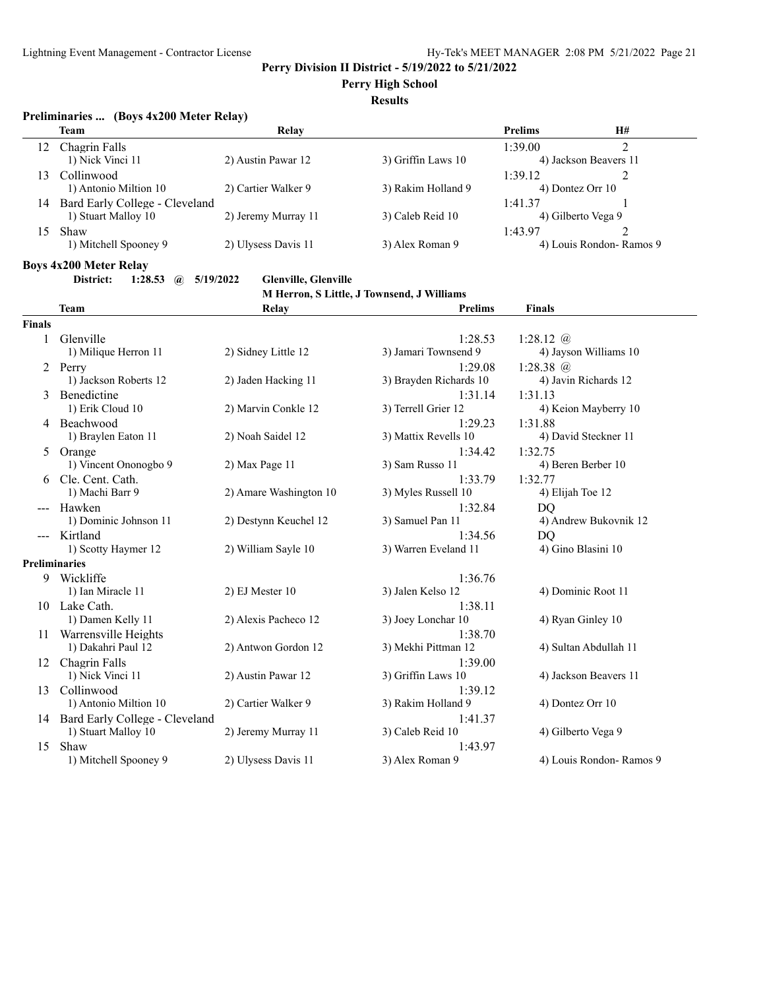## **Perry High School**

## **Results**

## **Preliminaries ... (Boys 4x200 Meter Relay)**

|     | <b>Team</b>                    | Relay               |                    | <b>Prelims</b>          | <b>H#</b> |
|-----|--------------------------------|---------------------|--------------------|-------------------------|-----------|
| 12. | Chagrin Falls                  |                     |                    | 1:39.00                 |           |
|     | 1) Nick Vinci 11               | 2) Austin Pawar 12  | 3) Griffin Laws 10 | 4) Jackson Beavers 11   |           |
| 13. | Collinwood                     |                     |                    | 1:39.12                 |           |
|     | 1) Antonio Miltion 10          | 2) Cartier Walker 9 | 3) Rakim Holland 9 | 4) Dontez Orr 10        |           |
| 14  | Bard Early College - Cleveland |                     |                    | 1:41.37                 |           |
|     | 1) Stuart Malloy 10            | 2) Jeremy Murray 11 | 3) Caleb Reid 10   | 4) Gilberto Vega 9      |           |
| 15  | Shaw                           |                     |                    | 1:43.97                 |           |
|     | 1) Mitchell Spooney 9          | 2) Ulysess Davis 11 | 3) Alex Roman 9    | 4) Louis Rondon-Ramos 9 |           |
|     |                                |                     |                    |                         |           |

## **Boys 4x200 Meter Relay**

**District: 1:28.53 @ 5/19/2022 Glenville, Glenville**

**M Herron, S Little, J Townsend, J Williams**

|                      | <b>Team</b>                    | Relay                  | <b>Prelims</b>         | <b>Finals</b>           |
|----------------------|--------------------------------|------------------------|------------------------|-------------------------|
| <b>Finals</b>        |                                |                        |                        |                         |
| 1                    | Glenville                      |                        | 1:28.53                | 1:28.12 $@$             |
|                      | 1) Milique Herron 11           | 2) Sidney Little 12    | 3) Jamari Townsend 9   | 4) Jayson Williams 10   |
| 2                    | Perry                          |                        | 1:29.08                | 1:28.38 @               |
|                      | 1) Jackson Roberts 12          | 2) Jaden Hacking 11    | 3) Brayden Richards 10 | 4) Javin Richards 12    |
| 3                    | Benedictine                    |                        | 1:31.14                | 1:31.13                 |
|                      | 1) Erik Cloud 10               | 2) Marvin Conkle 12    | 3) Terrell Grier 12    | 4) Keion Mayberry 10    |
| 4                    | Beachwood                      |                        | 1:29.23                | 1:31.88                 |
|                      | 1) Braylen Eaton 11            | 2) Noah Saidel 12      | 3) Mattix Revells 10   | 4) David Steckner 11    |
| 5                    | Orange                         |                        | 1:34.42                | 1:32.75                 |
|                      | 1) Vincent Ononogbo 9          | 2) Max Page 11         | 3) Sam Russo 11        | 4) Beren Berber 10      |
| 6                    | Cle. Cent. Cath.               |                        | 1:33.79                | 1:32.77                 |
|                      | 1) Machi Barr 9                | 2) Amare Washington 10 | 3) Myles Russell 10    | 4) Elijah Toe 12        |
|                      | Hawken                         |                        | 1:32.84                | D <sub>O</sub>          |
|                      | 1) Dominic Johnson 11          | 2) Destynn Keuchel 12  | 3) Samuel Pan 11       | 4) Andrew Bukovnik 12   |
|                      | Kirtland                       |                        | 1:34.56                | D <sub>O</sub>          |
|                      | 1) Scotty Haymer 12            | 2) William Sayle 10    | 3) Warren Eveland 11   | 4) Gino Blasini 10      |
| <b>Preliminaries</b> |                                |                        |                        |                         |
| 9                    | Wickliffe                      |                        | 1:36.76                |                         |
|                      | 1) Ian Miracle 11              | 2) EJ Mester 10        | 3) Jalen Kelso 12      | 4) Dominic Root 11      |
| 10.                  | Lake Cath.                     |                        | 1:38.11                |                         |
|                      | 1) Damen Kelly 11              | 2) Alexis Pacheco 12   | 3) Joey Lonchar 10     | 4) Ryan Ginley 10       |
| 11                   | Warrensville Heights           |                        | 1:38.70                |                         |
|                      | 1) Dakahri Paul 12             | 2) Antwon Gordon 12    | 3) Mekhi Pittman 12    | 4) Sultan Abdullah 11   |
| 12                   | Chagrin Falls                  |                        | 1:39.00                |                         |
|                      | 1) Nick Vinci 11               | 2) Austin Pawar 12     | 3) Griffin Laws 10     | 4) Jackson Beavers 11   |
| 13                   | Collinwood                     |                        | 1:39.12                |                         |
|                      | 1) Antonio Miltion 10          | 2) Cartier Walker 9    | 3) Rakim Holland 9     | 4) Dontez Orr 10        |
| 14                   | Bard Early College - Cleveland |                        | 1:41.37                |                         |
|                      | 1) Stuart Malloy 10            | 2) Jeremy Murray 11    | 3) Caleb Reid 10       | 4) Gilberto Vega 9      |
| 15                   | Shaw                           |                        | 1:43.97                |                         |
|                      | 1) Mitchell Spooney 9          | 2) Ulysess Davis 11    | 3) Alex Roman 9        | 4) Louis Rondon-Ramos 9 |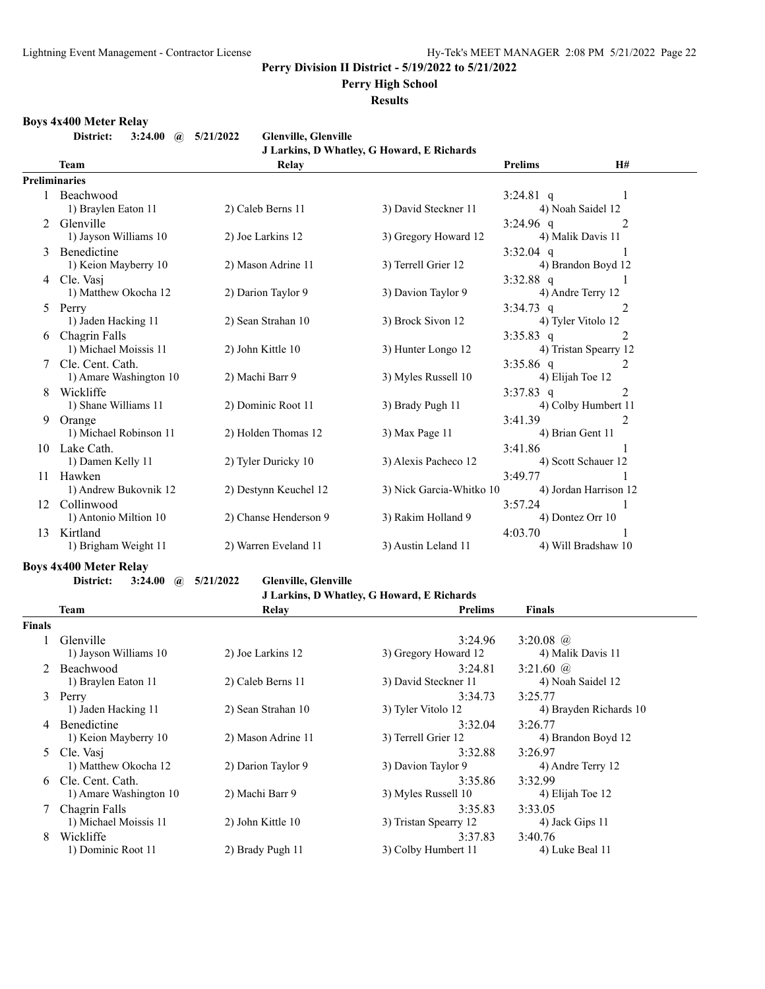## **Perry High School**

**Results**

#### **Boys 4x400 Meter Relay**

**District: 3:24.00 @ 5/21/2022 Glenville, Glenville**

| Glenville, Glenville |  |                                               |  |
|----------------------|--|-----------------------------------------------|--|
|                      |  | <b>ILarkins D Whatley G Howard E Richards</b> |  |

|                |                                                                                                                                                                                                                               |                       | J LATKIIIS, D WHAUCY, G HOWATU, E INCHATUS |                  |                       |
|----------------|-------------------------------------------------------------------------------------------------------------------------------------------------------------------------------------------------------------------------------|-----------------------|--------------------------------------------|------------------|-----------------------|
|                | <b>Team</b>                                                                                                                                                                                                                   | Relay                 |                                            | <b>Prelims</b>   | H#                    |
|                | <b>Preliminaries</b>                                                                                                                                                                                                          |                       |                                            |                  |                       |
|                | 1 Beachwood                                                                                                                                                                                                                   |                       |                                            | 3:24.81 q        | 1                     |
|                | 1) Braylen Eaton 11                                                                                                                                                                                                           | 2) Caleb Berns 11     | 3) David Steckner 11                       |                  | 4) Noah Saidel 12     |
| $\mathfrak{D}$ | Glenville                                                                                                                                                                                                                     |                       |                                            | $3:24.96$ q      | 2                     |
|                | 1) Jayson Williams 10                                                                                                                                                                                                         | 2) Joe Larkins 12     | 3) Gregory Howard 12                       |                  | 4) Malik Davis 11     |
|                | Benedictine                                                                                                                                                                                                                   |                       |                                            | $3:32.04$ q      | -1                    |
|                | 1) Keion Mayberry 10                                                                                                                                                                                                          | 2) Mason Adrine 11    | 3) Terrell Grier 12                        |                  | 4) Brandon Boyd 12    |
| 4              | Cle. Vasi                                                                                                                                                                                                                     |                       |                                            | $3:32.88$ q      |                       |
|                | 1) Matthew Okocha 12                                                                                                                                                                                                          | 2) Darion Taylor 9    | 3) Davion Taylor 9                         |                  | 4) Andre Terry 12     |
| 5              | Perry                                                                                                                                                                                                                         |                       |                                            | $3:34.73$ q      | 2                     |
|                | 1) Jaden Hacking 11                                                                                                                                                                                                           | 2) Sean Strahan 10    | 3) Brock Sivon 12                          |                  | 4) Tyler Vitolo 12    |
| 6              | Chagrin Falls                                                                                                                                                                                                                 |                       |                                            | $3:35.83$ q      | 2                     |
|                | 1) Michael Moissis 11                                                                                                                                                                                                         | 2) John Kittle 10     | 3) Hunter Longo 12                         |                  | 4) Tristan Spearry 12 |
|                | Cle. Cent. Cath.                                                                                                                                                                                                              |                       |                                            | $3:35.86$ q      | 2                     |
|                | 1) Amare Washington 10                                                                                                                                                                                                        | 2) Machi Barr 9       | 3) Myles Russell 10                        | 4) Elijah Toe 12 |                       |
| 8              | Wickliffe                                                                                                                                                                                                                     |                       |                                            | $3:37.83$ q      | 2                     |
|                | 1) Shane Williams 11                                                                                                                                                                                                          | 2) Dominic Root 11    | 3) Brady Pugh 11                           |                  | 4) Colby Humbert 11   |
| 9              | Orange                                                                                                                                                                                                                        |                       |                                            | 3:41.39          | $\mathfrak{D}$        |
|                | 1) Michael Robinson 11                                                                                                                                                                                                        | 2) Holden Thomas 12   | 3) Max Page 11                             |                  | 4) Brian Gent 11      |
| 10             | Lake Cath.                                                                                                                                                                                                                    |                       |                                            | 3:41.86          |                       |
|                | 1) Damen Kelly 11                                                                                                                                                                                                             | 2) Tyler Duricky 10   | 3) Alexis Pacheco 12                       |                  | 4) Scott Schauer 12   |
| 11             | Hawken                                                                                                                                                                                                                        | 2) Destynn Keuchel 12 | 3) Nick Garcia-Whitko 10                   | 3:49.77          | 4) Jordan Harrison 12 |
|                | 1) Andrew Bukovnik 12                                                                                                                                                                                                         |                       |                                            |                  |                       |
| 12             | Collinwood<br>1) Antonio Miltion 10                                                                                                                                                                                           | 2) Chanse Henderson 9 | 3) Rakim Holland 9                         | 3:57.24          | 4) Dontez Orr 10      |
| 13             | Kirtland                                                                                                                                                                                                                      |                       |                                            | 4:03.70          |                       |
|                | 1) Brigham Weight 11                                                                                                                                                                                                          | 2) Warren Eveland 11  | 3) Austin Leland 11                        |                  | 4) Will Bradshaw 10   |
|                | a construction of the construction of the construction of the construction of the construction of the construction of the construction of the construction of the construction of the construction of the construction of the |                       |                                            |                  |                       |
|                |                                                                                                                                                                                                                               |                       |                                            |                  |                       |

#### **Boys 4x400 Meter Relay**

**District: 3:24.00 @ 5/21/2022 Glenville, Glenville**

**J Larkins, D Whatley, G Howard, E Richards**

|        | Team                   | Relay              | <b>Prelims</b>        | <b>Finals</b>          |
|--------|------------------------|--------------------|-----------------------|------------------------|
| Finals |                        |                    |                       |                        |
|        | Glenville              |                    | 3:24.96               | 3:20.08 $\omega$       |
|        | 1) Jayson Williams 10  | 2) Joe Larkins 12  | 3) Gregory Howard 12  | 4) Malik Davis 11      |
|        | Beachwood              |                    | 3:24.81               | 3:21.60 $\omega$       |
|        | 1) Braylen Eaton 11    | 2) Caleb Berns 11  | 3) David Steckner 11  | 4) Noah Saidel 12      |
| 3      | Perry                  |                    | 3:34.73               | 3:25.77                |
|        | 1) Jaden Hacking 11    | 2) Sean Strahan 10 | 3) Tyler Vitolo 12    | 4) Brayden Richards 10 |
| 4      | <b>Benedictine</b>     |                    | 3:32.04               | 3:26.77                |
|        | 1) Keion Mayberry 10   | 2) Mason Adrine 11 | 3) Terrell Grier 12   | 4) Brandon Boyd 12     |
|        | 5 Cle. Vasi            |                    | 3:32.88               | 3:26.97                |
|        | 1) Matthew Okocha 12   | 2) Darion Taylor 9 | 3) Davion Taylor 9    | 4) Andre Terry 12      |
| 6      | Cle. Cent. Cath.       |                    | 3:35.86               | 3:32.99                |
|        | 1) Amare Washington 10 | 2) Machi Barr 9    | 3) Myles Russell 10   | 4) Elijah Toe 12       |
|        | Chagrin Falls          |                    | 3:35.83               | 3:33.05                |
|        | 1) Michael Moissis 11  | 2) John Kittle 10  | 3) Tristan Spearry 12 | 4) Jack Gips 11        |
| 8      | Wickliffe              |                    | 3:37.83               | 3:40.76                |
|        | 1) Dominic Root 11     | 2) Brady Pugh 11   | 3) Colby Humbert 11   | 4) Luke Beal 11        |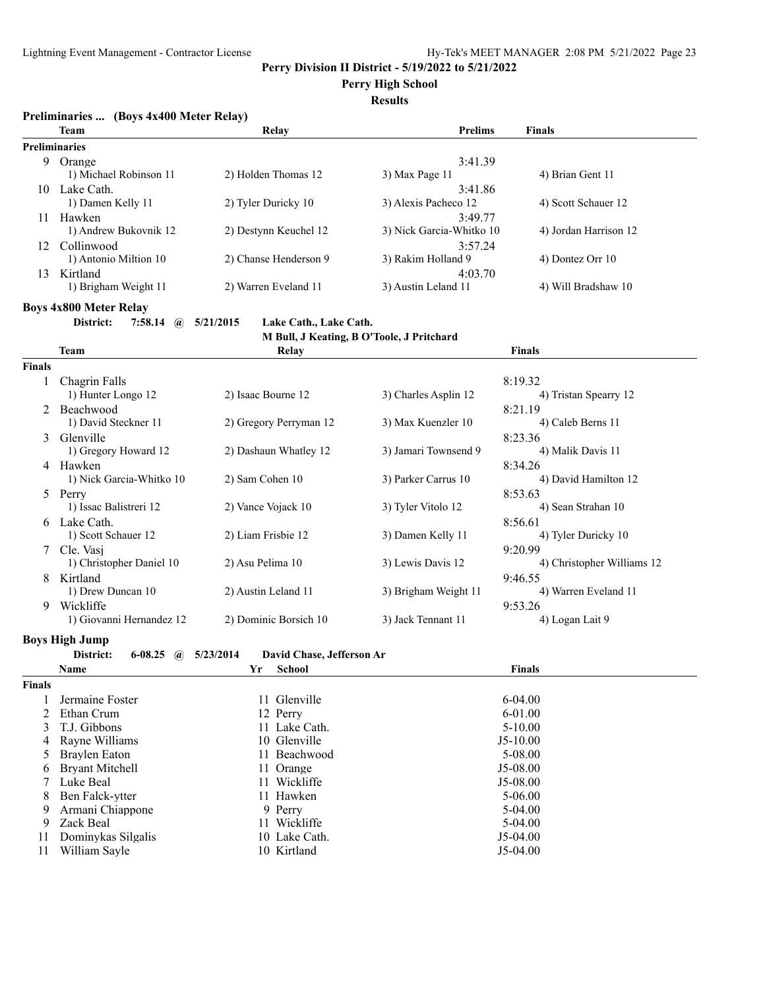**Perry High School**

**Results**

| Preliminaries  (Boys 4x400 Meter Relay) |  |  |
|-----------------------------------------|--|--|
|                                         |  |  |

|    | <b>Team</b>            | Relay                 | <b>Prelims</b>           | <b>Finals</b>         |
|----|------------------------|-----------------------|--------------------------|-----------------------|
|    | <b>Preliminaries</b>   |                       |                          |                       |
| 9  | Orange                 |                       | 3:41.39                  |                       |
|    | 1) Michael Robinson 11 | 2) Holden Thomas 12   | 3) Max Page 11           | 4) Brian Gent 11      |
| 10 | Lake Cath.             |                       | 3:41.86                  |                       |
|    | 1) Damen Kelly 11      | 2) Tyler Duricky 10   | 3) Alexis Pacheco 12     | 4) Scott Schauer 12   |
| 11 | Hawken                 |                       | 3:49.77                  |                       |
|    | 1) Andrew Bukovnik 12  | 2) Destynn Keuchel 12 | 3) Nick Garcia-Whitko 10 | 4) Jordan Harrison 12 |
| 12 | Collinwood             |                       | 3:57.24                  |                       |
|    | 1) Antonio Miltion 10  | 2) Chanse Henderson 9 | 3) Rakim Holland 9       | 4) Dontez Orr 10      |
| 13 | Kirtland               |                       | 4:03.70                  |                       |
|    | 1) Brigham Weight 11   | 2) Warren Eveland 11  | 3) Austin Leland 11      | 4) Will Bradshaw 10   |
|    |                        |                       |                          |                       |

**Boys 4x800 Meter Relay**

**District: 7:58.14 @ 5/21/2015 Lake Cath., Lake Cath.**

**M Bull, J Keating, B O'Toole, J Pritchard**

|               | Team                     | Relay                  |                      | <b>Finals</b>              |
|---------------|--------------------------|------------------------|----------------------|----------------------------|
| <b>Finals</b> |                          |                        |                      |                            |
|               | Chagrin Falls            |                        |                      | 8:19.32                    |
|               | 1) Hunter Longo 12       | 2) Isaac Bourne 12     | 3) Charles Asplin 12 | 4) Tristan Spearry 12      |
| $\mathcal{L}$ | Beachwood                |                        |                      | 8:21.19                    |
|               | 1) David Steckner 11     | 2) Gregory Perryman 12 | 3) Max Kuenzler 10   | 4) Caleb Berns 11          |
| 3             | Glenville                |                        |                      | 8:23.36                    |
|               | 1) Gregory Howard 12     | 2) Dashaun Whatley 12  | 3) Jamari Townsend 9 | 4) Malik Davis 11          |
| 4             | Hawken                   |                        |                      | 8:34.26                    |
|               | 1) Nick Garcia-Whitko 10 | 2) Sam Cohen 10        | 3) Parker Carrus 10  | 4) David Hamilton 12       |
| 5             | Perry                    |                        |                      | 8:53.63                    |
|               | 1) Issac Balistreri 12   | 2) Vance Vojack 10     | 3) Tyler Vitolo 12   | 4) Sean Strahan 10         |
| 6             | Lake Cath.               |                        |                      | 8:56.61                    |
|               | 1) Scott Schauer 12      | 2) Liam Frisbie 12     | 3) Damen Kelly 11    | 4) Tyler Duricky 10        |
|               | Cle. Vasi                |                        |                      | 9:20.99                    |
|               | 1) Christopher Daniel 10 | 2) Asu Pelima 10       | 3) Lewis Davis 12    | 4) Christopher Williams 12 |
| 8             | Kirtland                 |                        |                      | 9:46.55                    |
|               | 1) Drew Duncan 10        | 2) Austin Leland 11    | 3) Brigham Weight 11 | 4) Warren Eveland 11       |
| 9             | Wickliffe                |                        |                      | 9:53.26                    |
|               | 1) Giovanni Hernandez 12 | 2) Dominic Borsich 10  | 3) Jack Tennant 11   | 4) Logan Lait 9            |

**Boys High Jump**

**District: 6-08.25 @ 5/23/2014 David Chase, Jefferson Ar**

|               | Name                   | Yr | School        | <b>Finals</b> |  |
|---------------|------------------------|----|---------------|---------------|--|
| <b>Finals</b> |                        |    |               |               |  |
|               | Jermaine Foster        |    | 11 Glenville  | $6 - 04.00$   |  |
|               | 2 Ethan Crum           |    | 12 Perry      | $6 - 01.00$   |  |
|               | 3 T.J. Gibbons         |    | 11 Lake Cath. | $5-10.00$     |  |
|               | 4 Ravne Williams       |    | 10 Glenville  | $J5-10.00$    |  |
|               | 5 Braylen Eaton        |    | 11 Beachwood  | 5-08.00       |  |
| 6             | <b>Bryant Mitchell</b> |    | 11 Orange     | $J5-08.00$    |  |
|               | Luke Beal              |    | 11 Wickliffe  | $J5-08.00$    |  |
| 8             | Ben Falck-ytter        |    | 11 Hawken     | $5 - 06.00$   |  |
| 9             | Armani Chiappone       |    | 9 Perry       | $5-04.00$     |  |
| 9             | Zack Beal              |    | 11 Wickliffe  | $5-04.00$     |  |
| 11            | Dominykas Silgalis     |    | 10 Lake Cath. | $J5-04.00$    |  |
| 11            | William Savle          |    | 10 Kirtland   | $J5-04.00$    |  |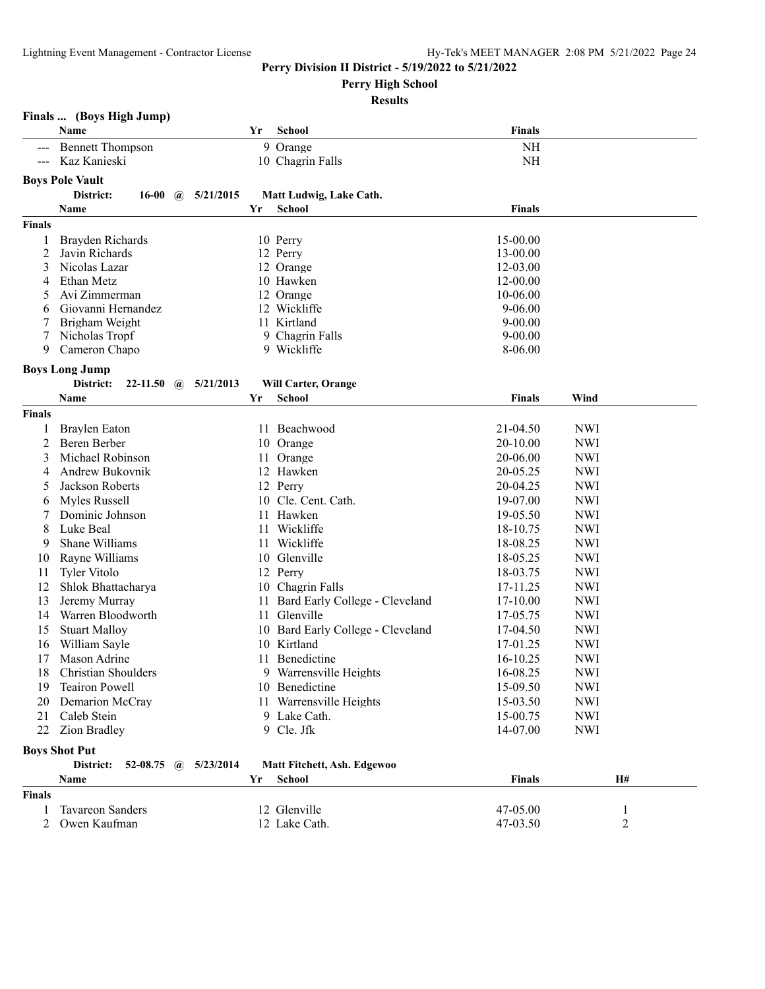**Perry High School**

|                      | Finals  (Boys High Jump)                           |    |                                          |                      |            |
|----------------------|----------------------------------------------------|----|------------------------------------------|----------------------|------------|
|                      | Name                                               | Yr | <b>School</b>                            | <b>Finals</b>        |            |
|                      | <b>Bennett Thompson</b>                            |    | 9 Orange                                 | NH                   |            |
| $\sim$ $\sim$ $\sim$ | Kaz Kanieski                                       |    | 10 Chagrin Falls                         | NH                   |            |
|                      | <b>Boys Pole Vault</b>                             |    |                                          |                      |            |
|                      | District:<br>5/21/2015<br>16-00 $\omega$           |    |                                          |                      |            |
|                      | Name                                               | Yr | Matt Ludwig, Lake Cath.<br><b>School</b> | <b>Finals</b>        |            |
|                      |                                                    |    |                                          |                      |            |
| <b>Finals</b>        |                                                    |    |                                          |                      |            |
| 1                    | Brayden Richards                                   |    | 10 Perry                                 | 15-00.00             |            |
| 2<br>3               | Javin Richards<br>Nicolas Lazar                    |    | 12 Perry<br>12 Orange                    | 13-00.00<br>12-03.00 |            |
| 4                    | Ethan Metz                                         |    | 10 Hawken                                | 12-00.00             |            |
| 5                    | Avi Zimmerman                                      |    | 12 Orange                                | 10-06.00             |            |
| 6                    | Giovanni Hernandez                                 |    | 12 Wickliffe                             | $9 - 06.00$          |            |
| 7                    | Brigham Weight                                     |    | 11 Kirtland                              | $9 - 00.00$          |            |
|                      | Nicholas Tropf                                     |    | 9 Chagrin Falls                          | $9 - 00.00$          |            |
| 9                    | Cameron Chapo                                      |    | 9 Wickliffe                              | 8-06.00              |            |
|                      |                                                    |    |                                          |                      |            |
|                      | <b>Boys Long Jump</b>                              |    |                                          |                      |            |
|                      | District:<br>22-11.50<br>5/21/2013<br>$\mathbf{a}$ |    | Will Carter, Orange                      |                      |            |
|                      | Name                                               | Yr | <b>School</b>                            | Finals               | Wind       |
| <b>Finals</b>        |                                                    |    |                                          |                      |            |
| 1                    | Braylen Eaton                                      |    | 11 Beachwood                             | 21-04.50             | <b>NWI</b> |
| 2                    | Beren Berber                                       |    | 10 Orange                                | 20-10.00             | <b>NWI</b> |
| 3                    | Michael Robinson                                   | 11 | Orange                                   | 20-06.00             | <b>NWI</b> |
| 4                    | Andrew Bukovnik                                    |    | 12 Hawken                                | 20-05.25             | <b>NWI</b> |
| 5                    | Jackson Roberts                                    |    | 12 Perry                                 | 20-04.25             | <b>NWI</b> |
| 6                    | Myles Russell                                      |    | 10 Cle. Cent. Cath.                      | 19-07.00             | <b>NWI</b> |
| 7                    | Dominic Johnson                                    | 11 | Hawken                                   | 19-05.50             | <b>NWI</b> |
| 8                    | Luke Beal                                          | 11 | Wickliffe                                | 18-10.75             | <b>NWI</b> |
| 9                    | Shane Williams                                     |    | 11 Wickliffe                             | 18-08.25             | <b>NWI</b> |
| 10                   | Rayne Williams                                     |    | 10 Glenville                             | 18-05.25             | <b>NWI</b> |
| 11                   | Tyler Vitolo                                       |    | 12 Perry                                 | 18-03.75             | <b>NWI</b> |
| 12                   | Shlok Bhattacharya                                 |    | 10 Chagrin Falls                         | 17-11.25             | <b>NWI</b> |
| 13                   | Jeremy Murray                                      | 11 | Bard Early College - Cleveland           | 17-10.00             | <b>NWI</b> |
| 14                   | Warren Bloodworth                                  | 11 | Glenville                                | 17-05.75             | <b>NWI</b> |
| 15                   | <b>Stuart Malloy</b>                               | 10 | Bard Early College - Cleveland           | 17-04.50             | <b>NWI</b> |
| 16                   | William Sayle                                      |    | 10 Kirtland                              | 17-01.25             | <b>NWI</b> |
| 17                   | Mason Adrine                                       |    | 11 Benedictine                           | 16-10.25             | <b>NWI</b> |
| 18                   | Christian Shoulders                                |    | 9 Warrensville Heights                   | 16-08.25             | NWI        |
| 19                   | <b>Teairon Powell</b>                              |    | 10 Benedictine                           | 15-09.50             | <b>NWI</b> |
| 20                   | Demarion McCray                                    |    | 11 Warrensville Heights                  | 15-03.50             | <b>NWI</b> |
| 21                   | Caleb Stein                                        |    | 9 Lake Cath.                             | 15-00.75             | <b>NWI</b> |
| 22                   | <b>Zion Bradley</b>                                |    | 9 Cle. Jfk                               | 14-07.00             | <b>NWI</b> |
|                      | <b>Boys Shot Put</b>                               |    |                                          |                      |            |
|                      | District:<br>52-08.75 $\omega$<br>5/23/2014        |    | Matt Fitchett, Ash. Edgewoo              |                      |            |
|                      | Name                                               | Yr | <b>School</b>                            | Finals               | H#         |
| <b>Finals</b>        |                                                    |    |                                          |                      |            |
|                      | <b>Tavareon Sanders</b>                            |    |                                          |                      |            |
| 1                    |                                                    |    | 12 Glenville                             | 47-05.00             | 1          |
| 2                    | Owen Kaufman                                       |    | 12 Lake Cath.                            | 47-03.50             | 2          |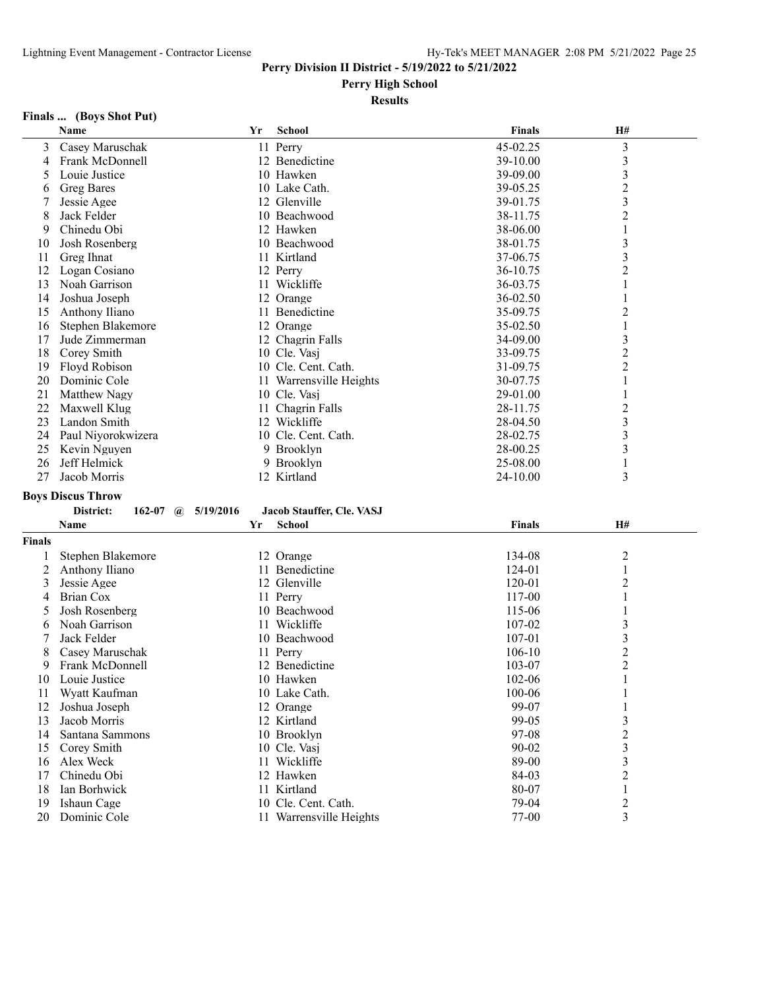#### **Perry High School**

#### **Results**

## **Finals ... (Boys Shot Put)**

|        | Name                                   | Yr | <b>School</b>             | <b>Finals</b> | H#                      |  |
|--------|----------------------------------------|----|---------------------------|---------------|-------------------------|--|
| 3      | Casey Maruschak                        |    | 11 Perry                  | 45-02.25      | $\mathfrak{Z}$          |  |
| 4      | Frank McDonnell                        |    | 12 Benedictine            | 39-10.00      | $\mathfrak{Z}$          |  |
| 5      | Louie Justice                          |    | 10 Hawken                 | 39-09.00      | 3                       |  |
| 6      | <b>Greg Bares</b>                      |    | 10 Lake Cath.             | 39-05.25      | $\overline{c}$          |  |
| 7      | Jessie Agee                            |    | 12 Glenville              | 39-01.75      | 3                       |  |
| 8      | Jack Felder                            |    | 10 Beachwood              | 38-11.75      | $\overline{2}$          |  |
| 9      | Chinedu Obi                            |    | 12 Hawken                 | 38-06.00      | 1                       |  |
| 10     | Josh Rosenberg                         |    | 10 Beachwood              | 38-01.75      | 3                       |  |
| 11     | Greg Ihnat                             |    | 11 Kirtland               | 37-06.75      | 3                       |  |
| 12     | Logan Cosiano                          |    | 12 Perry                  | 36-10.75      | 2                       |  |
| 13     | Noah Garrison                          |    | 11 Wickliffe              | 36-03.75      | 1                       |  |
| 14     | Joshua Joseph                          |    | 12 Orange                 | 36-02.50      | 1                       |  |
| 15     | Anthony Iliano                         |    | 11 Benedictine            | 35-09.75      | 2                       |  |
| 16     | Stephen Blakemore                      |    | 12 Orange                 | 35-02.50      | $\mathbf{1}$            |  |
| 17     | Jude Zimmerman                         |    | 12 Chagrin Falls          | 34-09.00      | 3                       |  |
| 18     | Corey Smith                            |    | 10 Cle. Vasj              | 33-09.75      | $\overline{c}$          |  |
| 19     | Floyd Robison                          |    | 10 Cle. Cent. Cath.       | 31-09.75      | $\overline{2}$          |  |
| 20     | Dominic Cole                           |    | 11 Warrensville Heights   | 30-07.75      | 1                       |  |
| 21     | Matthew Nagy                           |    | 10 Cle. Vasj              | 29-01.00      | 1                       |  |
| 22     | Maxwell Klug                           |    | 11 Chagrin Falls          | 28-11.75      | $\overline{c}$          |  |
| 23     | Landon Smith                           |    | 12 Wickliffe              | 28-04.50      | 3                       |  |
| 24     | Paul Niyorokwizera                     |    | 10 Cle. Cent. Cath.       | 28-02.75      | 3                       |  |
| 25     | Kevin Nguyen                           |    | 9 Brooklyn                | 28-00.25      | 3                       |  |
| 26     | Jeff Helmick                           |    | 9 Brooklyn                | 25-08.00      | 1                       |  |
| 27     | Jacob Morris                           |    | 12 Kirtland               | 24-10.00      | 3                       |  |
|        |                                        |    |                           |               |                         |  |
|        | <b>Boys Discus Throw</b>               |    |                           |               |                         |  |
|        | District:<br>162-07 $\omega$ 5/19/2016 |    | Jacob Stauffer, Cle. VASJ |               |                         |  |
|        | Name                                   | Yr | <b>School</b>             | <b>Finals</b> | H#                      |  |
| Finals |                                        |    |                           |               |                         |  |
| 1      | Stephen Blakemore                      |    | 12 Orange                 | 134-08        | $\overline{\mathbf{c}}$ |  |
| 2      | Anthony Iliano                         |    | 11 Benedictine            | 124-01        | 1                       |  |
| 3      | Jessie Agee                            |    | 12 Glenville              | 120-01        | $\overline{c}$          |  |
| 4      | <b>Brian Cox</b>                       |    | 11 Perry                  | 117-00        | 1                       |  |
| 5      | Josh Rosenberg                         |    | 10 Beachwood              | 115-06        | 1                       |  |
| 6      | Noah Garrison                          |    | 11 Wickliffe              | 107-02        | 3                       |  |
| 7      | Jack Felder                            |    | 10 Beachwood              | 107-01        | 3                       |  |
| 8      | Casey Maruschak                        |    | 11 Perry                  | $106 - 10$    | $\overline{\mathbf{c}}$ |  |
| 9      | Frank McDonnell                        |    | 12 Benedictine            | 103-07        | $\overline{c}$          |  |
| 10     | Louie Justice                          |    | 10 Hawken                 | 102-06        | 1                       |  |
| 11     | Wyatt Kaufman                          |    | 10 Lake Cath.             | 100-06        | 1                       |  |
| 12     | Joshua Joseph                          |    | 12 Orange                 | 99-07         | $\mathbf{1}$            |  |
| 13     | Jacob Morris                           |    | 12 Kirtland               | 99-05         | 3                       |  |
| 14     | Santana Sammons                        |    | 10 Brooklyn               | 97-08         | $\overline{c}$          |  |
| 15     | Corey Smith                            |    | 10 Cle. Vasj              | 90-02         | 3                       |  |
| 16     | Alex Weck                              |    | 11 Wickliffe              | 89-00         | 3                       |  |
| 17     | Chinedu Obi                            |    | 12 Hawken                 | 84-03         | $\overline{c}$          |  |
| 18     | Ian Borhwick                           |    | 11 Kirtland               | 80-07         | $\mathbf{1}$            |  |
| 19     | Ishaun Cage                            |    | 10 Cle. Cent. Cath.       | 79-04         | $\overline{c}$          |  |
| 20     | Dominic Cole                           |    | 11 Warrensville Heights   | 77-00         | 3                       |  |